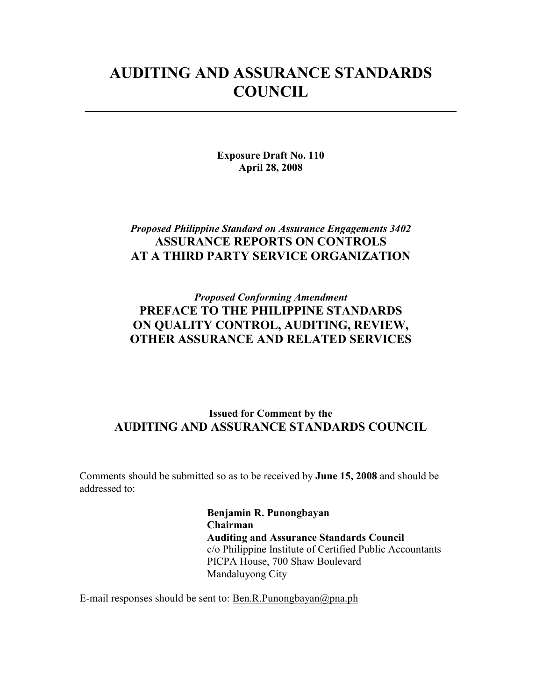# AUDITING AND ASSURANCE STANDARDS **COUNCIL**

 $\mathcal{L}_\text{max} = \mathcal{L}_\text{max} = \mathcal{L}_\text{max} = \mathcal{L}_\text{max} = \mathcal{L}_\text{max} = \mathcal{L}_\text{max} = \mathcal{L}_\text{max} = \mathcal{L}_\text{max} = \mathcal{L}_\text{max} = \mathcal{L}_\text{max} = \mathcal{L}_\text{max} = \mathcal{L}_\text{max} = \mathcal{L}_\text{max} = \mathcal{L}_\text{max} = \mathcal{L}_\text{max} = \mathcal{L}_\text{max} = \mathcal{L}_\text{max} = \mathcal{L}_\text{max} = \mathcal{$ 

Exposure Draft No. 110 April 28, 2008

# Proposed Philippine Standard on Assurance Engagements 3402 ASSURANCE REPORTS ON CONTROLS AT A THIRD PARTY SERVICE ORGANIZATION

# Proposed Conforming Amendment PREFACE TO THE PHILIPPINE STANDARDS ON QUALITY CONTROL, AUDITING, REVIEW, OTHER ASSURANCE AND RELATED SERVICES

# Issued for Comment by the AUDITING AND ASSURANCE STANDARDS COUNCIL

Comments should be submitted so as to be received by June 15, 2008 and should be addressed to:

> Benjamin R. Punongbayan Chairman Auditing and Assurance Standards Council c/o Philippine Institute of Certified Public Accountants PICPA House, 700 Shaw Boulevard Mandaluyong City

E-mail responses should be sent to: Ben.R.Punongbayan@pna.ph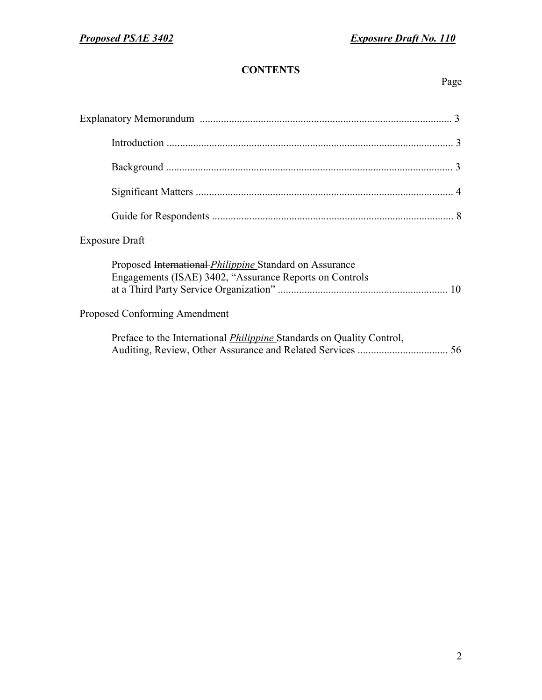# **CONTENTS**

| <b>Exposure Draft</b>         |                                                                                                                           |    |
|-------------------------------|---------------------------------------------------------------------------------------------------------------------------|----|
|                               | Proposed International <i>Philippine</i> Standard on Assurance<br>Engagements (ISAE) 3402, "Assurance Reports on Controls |    |
| Proposed Conforming Amendment |                                                                                                                           |    |
|                               | Preface to the International <i>Philippine</i> Standards on Quality Control,                                              | 56 |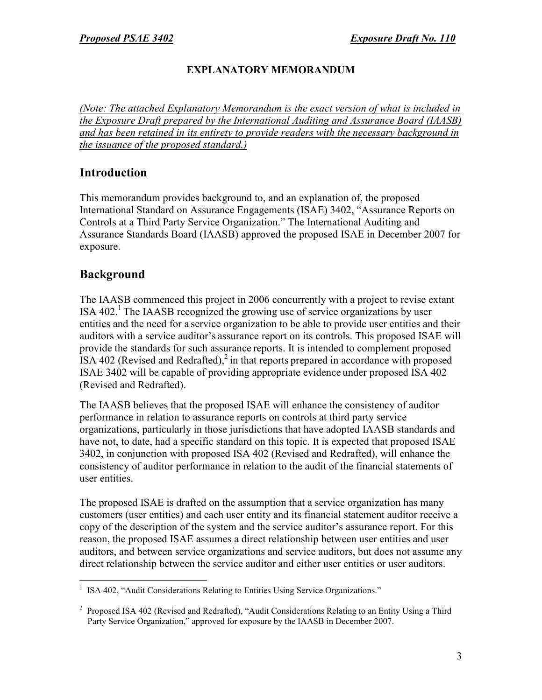# EXPLANATORY MEMORANDUM

(Note: The attached Explanatory Memorandum is the exact version of what is included in the Exposure Draft prepared by the International Auditing and Assurance Board (IAASB) and has been retained in its entirety to provide readers with the necessary background in the issuance of the proposed standard.)

# Introduction

This memorandum provides background to, and an explanation of, the proposed International Standard on Assurance Engagements (ISAE) 3402, "Assurance Reports on Controls at a Third Party Service Organization." The International Auditing and Assurance Standards Board (IAASB) approved the proposed ISAE in December 2007 for exposure.

# Background

The IAASB commenced this project in 2006 concurrently with a project to revise extant ISA 402.<sup>1</sup> The IAASB recognized the growing use of service organizations by user entities and the need for a service organization to be able to provide user entities and their auditors with a service auditor's assurance report on its controls. This proposed ISAE will provide the standards for such assurance reports. It is intended to complement proposed ISA 402 (Revised and Redrafted), $^2$  in that reports prepared in accordance with proposed ISAE 3402 will be capable of providing appropriate evidence under proposed ISA 402 (Revised and Redrafted).

The IAASB believes that the proposed ISAE will enhance the consistency of auditor performance in relation to assurance reports on controls at third party service organizations, particularly in those jurisdictions that have adopted IAASB standards and have not, to date, had a specific standard on this topic. It is expected that proposed ISAE 3402, in conjunction with proposed ISA 402 (Revised and Redrafted), will enhance the consistency of auditor performance in relation to the audit of the financial statements of user entities.

The proposed ISAE is drafted on the assumption that a service organization has many customers (user entities) and each user entity and its financial statement auditor receive a copy of the description of the system and the service auditor's assurance report. For this reason, the proposed ISAE assumes a direct relationship between user entities and user auditors, and between service organizations and service auditors, but does not assume any direct relationship between the service auditor and either user entities or user auditors.

 1 ISA 402, "Audit Considerations Relating to Entities Using Service Organizations."

<sup>&</sup>lt;sup>2</sup> Proposed ISA 402 (Revised and Redrafted), "Audit Considerations Relating to an Entity Using a Third Party Service Organization," approved for exposure by the IAASB in December 2007.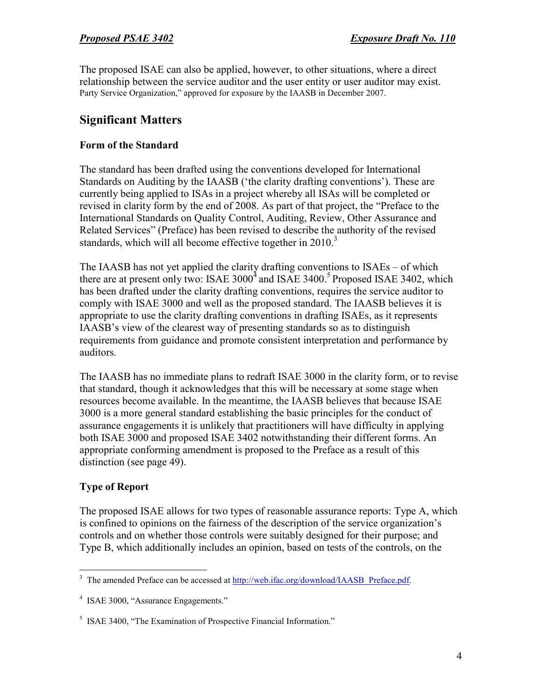The proposed ISAE can also be applied, however, to other situations, where a direct relationship between the service auditor and the user entity or user auditor may exist. Party Service Organization," approved for exposure by the IAASB in December 2007.

# Significant Matters

# Form of the Standard

The standard has been drafted using the conventions developed for International Standards on Auditing by the IAASB ('the clarity drafting conventions'). These are currently being applied to ISAs in a project whereby all ISAs will be completed or revised in clarity form by the end of 2008. As part of that project, the "Preface to the International Standards on Quality Control, Auditing, Review, Other Assurance and Related Services" (Preface) has been revised to describe the authority of the revised standards, which will all become effective together in  $2010<sup>3</sup>$ 

The IAASB has not yet applied the clarity drafting conventions to ISAEs – of which there are at present only two: ISAE  $3000<sup>4</sup>$  and ISAE 3400.<sup>5</sup> Proposed ISAE 3402, which has been drafted under the clarity drafting conventions, requires the service auditor to comply with ISAE 3000 and well as the proposed standard. The IAASB believes it is appropriate to use the clarity drafting conventions in drafting ISAEs, as it represents IAASB's view of the clearest way of presenting standards so as to distinguish requirements from guidance and promote consistent interpretation and performance by auditors.

The IAASB has no immediate plans to redraft ISAE 3000 in the clarity form, or to revise that standard, though it acknowledges that this will be necessary at some stage when resources become available. In the meantime, the IAASB believes that because ISAE 3000 is a more general standard establishing the basic principles for the conduct of assurance engagements it is unlikely that practitioners will have difficulty in applying both ISAE 3000 and proposed ISAE 3402 notwithstanding their different forms. An appropriate conforming amendment is proposed to the Preface as a result of this distinction (see page 49).

# Type of Report

The proposed ISAE allows for two types of reasonable assurance reports: Type A, which is confined to opinions on the fairness of the description of the service organization's controls and on whether those controls were suitably designed for their purpose; and Type B, which additionally includes an opinion, based on tests of the controls, on the

<sup>&</sup>lt;sup>3</sup> The amended Preface can be accessed at <u>http://web.ifac.org/download/IAASB\_Preface.pdf</u>.

<sup>&</sup>lt;sup>4</sup> ISAE 3000, "Assurance Engagements."

<sup>&</sup>lt;sup>5</sup> ISAE 3400, "The Examination of Prospective Financial Information."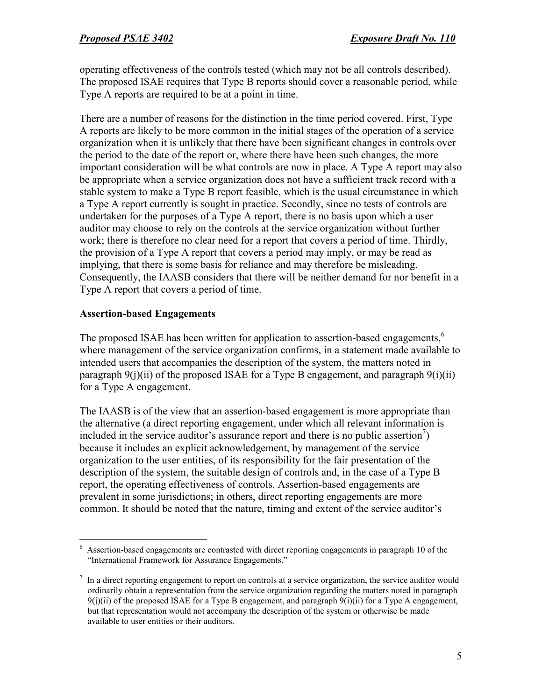operating effectiveness of the controls tested (which may not be all controls described). The proposed ISAE requires that Type B reports should cover a reasonable period, while Type A reports are required to be at a point in time.

There are a number of reasons for the distinction in the time period covered. First, Type A reports are likely to be more common in the initial stages of the operation of a service organization when it is unlikely that there have been significant changes in controls over the period to the date of the report or, where there have been such changes, the more important consideration will be what controls are now in place. A Type A report may also be appropriate when a service organization does not have a sufficient track record with a stable system to make a Type B report feasible, which is the usual circumstance in which a Type A report currently is sought in practice. Secondly, since no tests of controls are undertaken for the purposes of a Type A report, there is no basis upon which a user auditor may choose to rely on the controls at the service organization without further work; there is therefore no clear need for a report that covers a period of time. Thirdly, the provision of a Type A report that covers a period may imply, or may be read as implying, that there is some basis for reliance and may therefore be misleading. Consequently, the IAASB considers that there will be neither demand for nor benefit in a Type A report that covers a period of time.

# Assertion-based Engagements

The proposed ISAE has been written for application to assertion-based engagements,  $6\overline{6}$ where management of the service organization confirms, in a statement made available to intended users that accompanies the description of the system, the matters noted in paragraph  $9(i)(ii)$  of the proposed ISAE for a Type B engagement, and paragraph  $9(i)(ii)$ for a Type A engagement.

The IAASB is of the view that an assertion-based engagement is more appropriate than the alternative (a direct reporting engagement, under which all relevant information is included in the service auditor's assurance report and there is no public assertion<sup>7</sup>) because it includes an explicit acknowledgement, by management of the service organization to the user entities, of its responsibility for the fair presentation of the description of the system, the suitable design of controls and, in the case of a Type B report, the operating effectiveness of controls. Assertion-based engagements are prevalent in some jurisdictions; in others, direct reporting engagements are more common. It should be noted that the nature, timing and extent of the service auditor's

<sup>&</sup>lt;u>.</u> 6 Assertion-based engagements are contrasted with direct reporting engagements in paragraph 10 of the "International Framework for Assurance Engagements."

 $<sup>7</sup>$  In a direct reporting engagement to report on controls at a service organization, the service auditor would</sup> ordinarily obtain a representation from the service organization regarding the matters noted in paragraph  $9(i)(ii)$  of the proposed ISAE for a Type B engagement, and paragraph  $9(i)(ii)$  for a Type A engagement, but that representation would not accompany the description of the system or otherwise be made available to user entities or their auditors.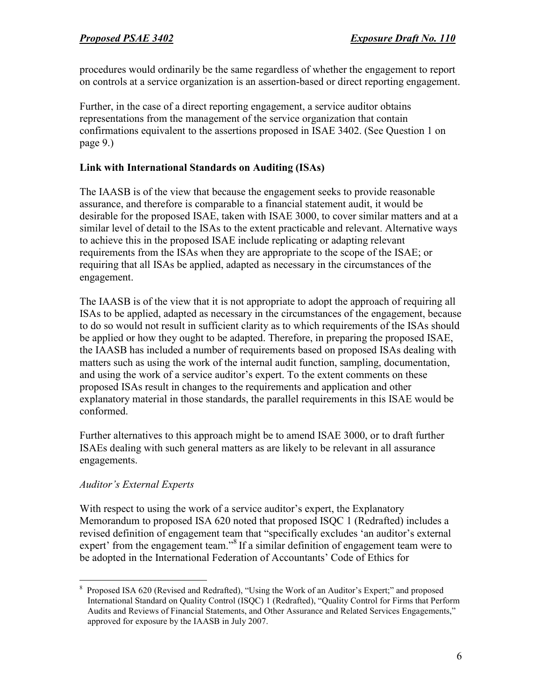procedures would ordinarily be the same regardless of whether the engagement to report on controls at a service organization is an assertion-based or direct reporting engagement.

Further, in the case of a direct reporting engagement, a service auditor obtains representations from the management of the service organization that contain confirmations equivalent to the assertions proposed in ISAE 3402. (See Question 1 on page 9.)

# Link with International Standards on Auditing (ISAs)

The IAASB is of the view that because the engagement seeks to provide reasonable assurance, and therefore is comparable to a financial statement audit, it would be desirable for the proposed ISAE, taken with ISAE 3000, to cover similar matters and at a similar level of detail to the ISAs to the extent practicable and relevant. Alternative ways to achieve this in the proposed ISAE include replicating or adapting relevant requirements from the ISAs when they are appropriate to the scope of the ISAE; or requiring that all ISAs be applied, adapted as necessary in the circumstances of the engagement.

The IAASB is of the view that it is not appropriate to adopt the approach of requiring all ISAs to be applied, adapted as necessary in the circumstances of the engagement, because to do so would not result in sufficient clarity as to which requirements of the ISAs should be applied or how they ought to be adapted. Therefore, in preparing the proposed ISAE, the IAASB has included a number of requirements based on proposed ISAs dealing with matters such as using the work of the internal audit function, sampling, documentation, and using the work of a service auditor's expert. To the extent comments on these proposed ISAs result in changes to the requirements and application and other explanatory material in those standards, the parallel requirements in this ISAE would be conformed.

Further alternatives to this approach might be to amend ISAE 3000, or to draft further ISAEs dealing with such general matters as are likely to be relevant in all assurance engagements.

# Auditor's External Experts

With respect to using the work of a service auditor's expert, the Explanatory Memorandum to proposed ISA 620 noted that proposed ISQC 1 (Redrafted) includes a revised definition of engagement team that "specifically excludes 'an auditor's external expert' from the engagement team."<sup>8</sup> If a similar definition of engagement team were to be adopted in the International Federation of Accountants' Code of Ethics for

 $\frac{1}{8}$  Proposed ISA 620 (Revised and Redrafted), "Using the Work of an Auditor's Expert;" and proposed International Standard on Quality Control (ISQC) 1 (Redrafted), "Quality Control for Firms that Perform Audits and Reviews of Financial Statements, and Other Assurance and Related Services Engagements," approved for exposure by the IAASB in July 2007.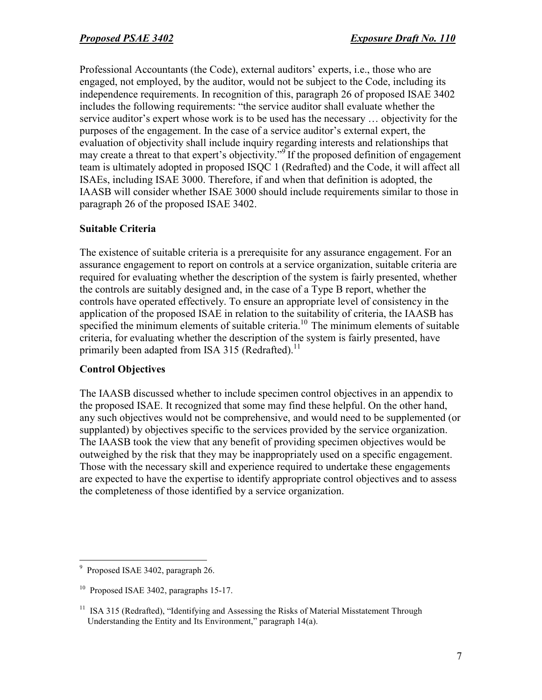Professional Accountants (the Code), external auditors' experts, i.e., those who are engaged, not employed, by the auditor, would not be subject to the Code, including its independence requirements. In recognition of this, paragraph 26 of proposed ISAE 3402 includes the following requirements: "the service auditor shall evaluate whether the service auditor's expert whose work is to be used has the necessary … objectivity for the purposes of the engagement. In the case of a service auditor's external expert, the evaluation of objectivity shall include inquiry regarding interests and relationships that may create a threat to that expert's objectivity."<sup>9</sup> If the proposed definition of engagement team is ultimately adopted in proposed ISQC 1 (Redrafted) and the Code, it will affect all ISAEs, including ISAE 3000. Therefore, if and when that definition is adopted, the IAASB will consider whether ISAE 3000 should include requirements similar to those in paragraph 26 of the proposed ISAE 3402.

# Suitable Criteria

The existence of suitable criteria is a prerequisite for any assurance engagement. For an assurance engagement to report on controls at a service organization, suitable criteria are required for evaluating whether the description of the system is fairly presented, whether the controls are suitably designed and, in the case of a Type B report, whether the controls have operated effectively. To ensure an appropriate level of consistency in the application of the proposed ISAE in relation to the suitability of criteria, the IAASB has specified the minimum elements of suitable criteria.<sup>10</sup> The minimum elements of suitable criteria, for evaluating whether the description of the system is fairly presented, have primarily been adapted from ISA 315 (Redrafted).<sup>11</sup>

# Control Objectives

The IAASB discussed whether to include specimen control objectives in an appendix to the proposed ISAE. It recognized that some may find these helpful. On the other hand, any such objectives would not be comprehensive, and would need to be supplemented (or supplanted) by objectives specific to the services provided by the service organization. The IAASB took the view that any benefit of providing specimen objectives would be outweighed by the risk that they may be inappropriately used on a specific engagement. Those with the necessary skill and experience required to undertake these engagements are expected to have the expertise to identify appropriate control objectives and to assess the completeness of those identified by a service organization.

Proposed ISAE 3402, paragraph 26.

<sup>&</sup>lt;sup>10</sup> Proposed ISAE 3402, paragraphs 15-17.

<sup>&</sup>lt;sup>11</sup> ISA 315 (Redrafted), "Identifying and Assessing the Risks of Material Misstatement Through Understanding the Entity and Its Environment," paragraph 14(a).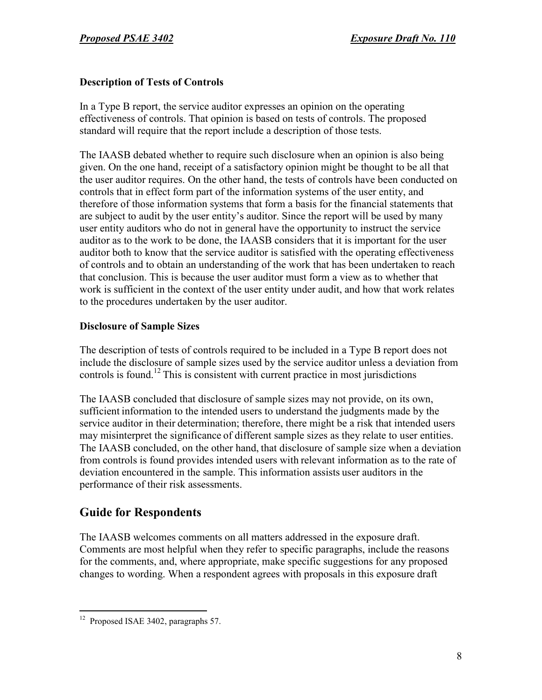# Description of Tests of Controls

In a Type B report, the service auditor expresses an opinion on the operating effectiveness of controls. That opinion is based on tests of controls. The proposed standard will require that the report include a description of those tests.

The IAASB debated whether to require such disclosure when an opinion is also being given. On the one hand, receipt of a satisfactory opinion might be thought to be all that the user auditor requires. On the other hand, the tests of controls have been conducted on controls that in effect form part of the information systems of the user entity, and therefore of those information systems that form a basis for the financial statements that are subject to audit by the user entity's auditor. Since the report will be used by many user entity auditors who do not in general have the opportunity to instruct the service auditor as to the work to be done, the IAASB considers that it is important for the user auditor both to know that the service auditor is satisfied with the operating effectiveness of controls and to obtain an understanding of the work that has been undertaken to reach that conclusion. This is because the user auditor must form a view as to whether that work is sufficient in the context of the user entity under audit, and how that work relates to the procedures undertaken by the user auditor.

# Disclosure of Sample Sizes

The description of tests of controls required to be included in a Type B report does not include the disclosure of sample sizes used by the service auditor unless a deviation from controls is found.<sup>12</sup> This is consistent with current practice in most jurisdictions

The IAASB concluded that disclosure of sample sizes may not provide, on its own, sufficient information to the intended users to understand the judgments made by the service auditor in their determination; therefore, there might be a risk that intended users may misinterpret the significance of different sample sizes as they relate to user entities. The IAASB concluded, on the other hand, that disclosure of sample size when a deviation from controls is found provides intended users with relevant information as to the rate of deviation encountered in the sample. This information assists user auditors in the performance of their risk assessments.

# Guide for Respondents

The IAASB welcomes comments on all matters addressed in the exposure draft. Comments are most helpful when they refer to specific paragraphs, include the reasons for the comments, and, where appropriate, make specific suggestions for any proposed changes to wording. When a respondent agrees with proposals in this exposure draft

<sup>-</sup><sup>12</sup> Proposed ISAE 3402, paragraphs 57.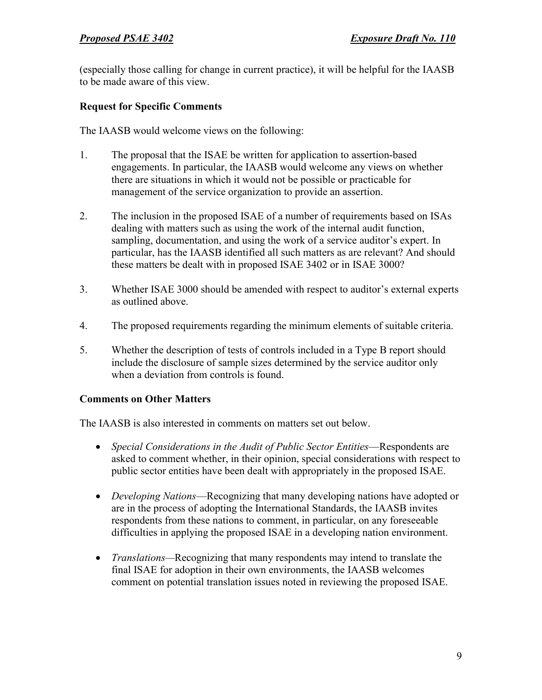(especially those calling for change in current practice), it will be helpful for the IAASB to be made aware of this view.

# Request for Specific Comments

The IAASB would welcome views on the following:

- 1. The proposal that the ISAE be written for application to assertion-based engagements. In particular, the IAASB would welcome any views on whether there are situations in which it would not be possible or practicable for management of the service organization to provide an assertion.
- 2. The inclusion in the proposed ISAE of a number of requirements based on ISAs dealing with matters such as using the work of the internal audit function, sampling, documentation, and using the work of a service auditor's expert. In particular, has the IAASB identified all such matters as are relevant? And should these matters be dealt with in proposed ISAE 3402 or in ISAE 3000?
- 3. Whether ISAE 3000 should be amended with respect to auditor's external experts as outlined above.
- 4. The proposed requirements regarding the minimum elements of suitable criteria.
- 5. Whether the description of tests of controls included in a Type B report should include the disclosure of sample sizes determined by the service auditor only when a deviation from controls is found.

# Comments on Other Matters

The IAASB is also interested in comments on matters set out below.

- Special Considerations in the Audit of Public Sector Entities—Respondents are asked to comment whether, in their opinion, special considerations with respect to public sector entities have been dealt with appropriately in the proposed ISAE.
- *Developing Nations*—Recognizing that many developing nations have adopted or are in the process of adopting the International Standards, the IAASB invites respondents from these nations to comment, in particular, on any foreseeable difficulties in applying the proposed ISAE in a developing nation environment.
- *Translations*—Recognizing that many respondents may intend to translate the final ISAE for adoption in their own environments, the IAASB welcomes comment on potential translation issues noted in reviewing the proposed ISAE.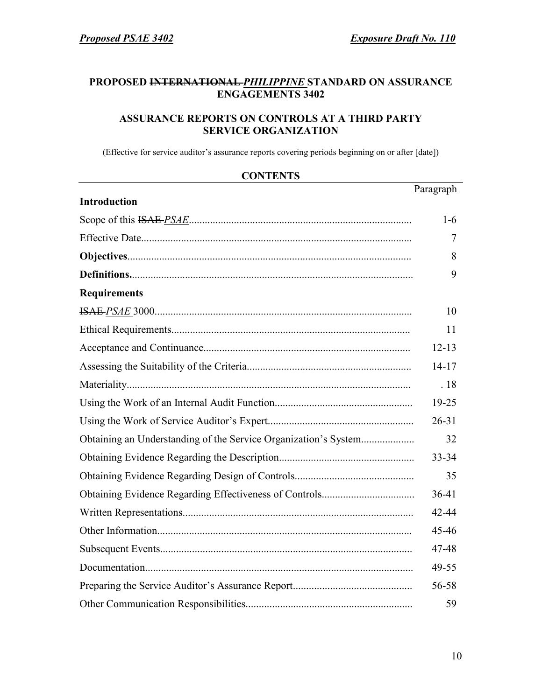# PROPOSED INTERNATIONAL PHILIPPINE STANDARD ON ASSURANCE ENGAGEMENTS 3402

# ASSURANCE REPORTS ON CONTROLS AT A THIRD PARTY SERVICE ORGANIZATION

(Effective for service auditor's assurance reports covering periods beginning on or after [date])

|                     | Paragraph |
|---------------------|-----------|
| <b>Introduction</b> |           |
|                     | $1 - 6$   |
|                     | 7         |
|                     | 8         |
|                     | 9         |
| <b>Requirements</b> |           |
|                     | 10        |
|                     | 11        |
|                     | $12 - 13$ |
|                     | $14 - 17$ |
|                     | .18       |
|                     | 19-25     |
|                     | $26 - 31$ |
|                     | 32        |
|                     | 33-34     |
|                     | 35        |
|                     | 36-41     |
|                     | 42-44     |
|                     | 45-46     |
|                     | 47-48     |
|                     | 49-55     |
|                     | 56-58     |
|                     | 59        |

#### **CONTENTS**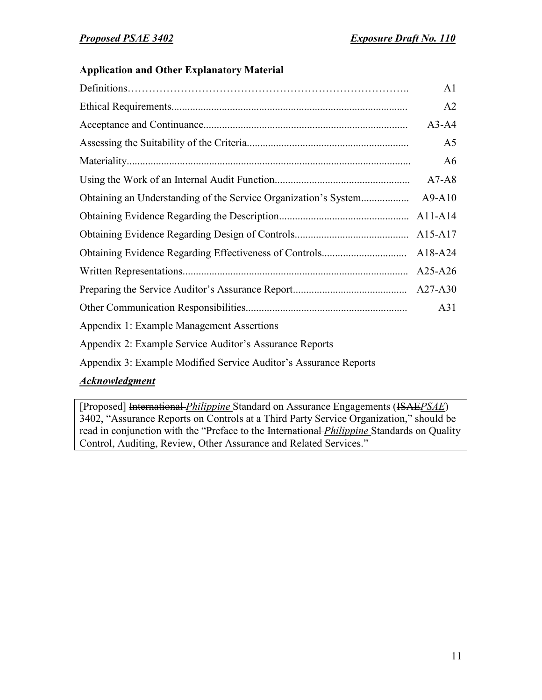# Application and Other Explanatory Material

|                                                                  | A <sub>1</sub> |  |  |
|------------------------------------------------------------------|----------------|--|--|
|                                                                  | A <sub>2</sub> |  |  |
|                                                                  |                |  |  |
|                                                                  |                |  |  |
|                                                                  |                |  |  |
|                                                                  | $A7-A8$        |  |  |
| Obtaining an Understanding of the Service Organization's System  | $A9 - A10$     |  |  |
|                                                                  | $A11-A14$      |  |  |
|                                                                  |                |  |  |
|                                                                  | $A18-A24$      |  |  |
|                                                                  |                |  |  |
|                                                                  | $A27-A30$      |  |  |
|                                                                  | A31            |  |  |
| Appendix 1: Example Management Assertions                        |                |  |  |
| Appendix 2: Example Service Auditor's Assurance Reports          |                |  |  |
| Appendix 3: Example Modified Service Auditor's Assurance Reports |                |  |  |

# Acknowledgment

[Proposed] International-*Philippine* Standard on Assurance Engagements (ISAEPSAE) 3402, "Assurance Reports on Controls at a Third Party Service Organization," should be read in conjunction with the "Preface to the International Philippine Standards on Quality Control, Auditing, Review, Other Assurance and Related Services."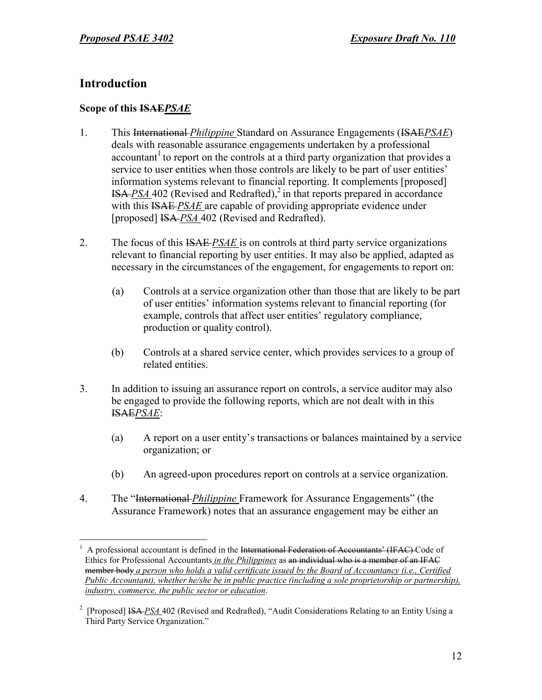# Introduction

# Scope of this ISAEPSAE

- 1. This International *Philippine* Standard on Assurance Engagements (ISAEPSAE) deals with reasonable assurance engagements undertaken by a professional accountant<sup>1</sup> to report on the controls at a third party organization that provides a service to user entities when those controls are likely to be part of user entities' information systems relevant to financial reporting. It complements [proposed]  $15A$  PSA 402 (Revised and Redrafted),<sup>2</sup> in that reports prepared in accordance with this ISAE *PSAE* are capable of providing appropriate evidence under [proposed] ISA-PSA 402 (Revised and Redrafted).
- 2. The focus of this  $\frac{ISAE\text{-}PSAE}{SAE}$  is on controls at third party service organizations relevant to financial reporting by user entities. It may also be applied, adapted as necessary in the circumstances of the engagement, for engagements to report on:
	- (a) Controls at a service organization other than those that are likely to be part of user entities' information systems relevant to financial reporting (for example, controls that affect user entities' regulatory compliance, production or quality control).
	- (b) Controls at a shared service center, which provides services to a group of related entities.
- 3. In addition to issuing an assurance report on controls, a service auditor may also be engaged to provide the following reports, which are not dealt with in this ISAEPSAE:
	- (a) A report on a user entity's transactions or balances maintained by a service organization; or
	- (b) An agreed-upon procedures report on controls at a service organization.
- 4. The "International-*Philippine* Framework for Assurance Engagements" (the Assurance Framework) notes that an assurance engagement may be either an

<sup>&</sup>lt;u>.</u> 1 A professional accountant is defined in the International Federation of Accountants' (IFAC) Code of Ethics for Professional Accountants in the Philippines as an individual who is a member of an IFAC member body a person who holds a valid certificate issued by the Board of Accountancy (i.e., Certified Public Accountant), whether he/she be in public practice (including a sole proprietorship or partnership), industry, commerce, the public sector or education.

<sup>&</sup>lt;sup>2</sup> [Proposed] ISA-PSA 402 (Revised and Redrafted), "Audit Considerations Relating to an Entity Using a Third Party Service Organization."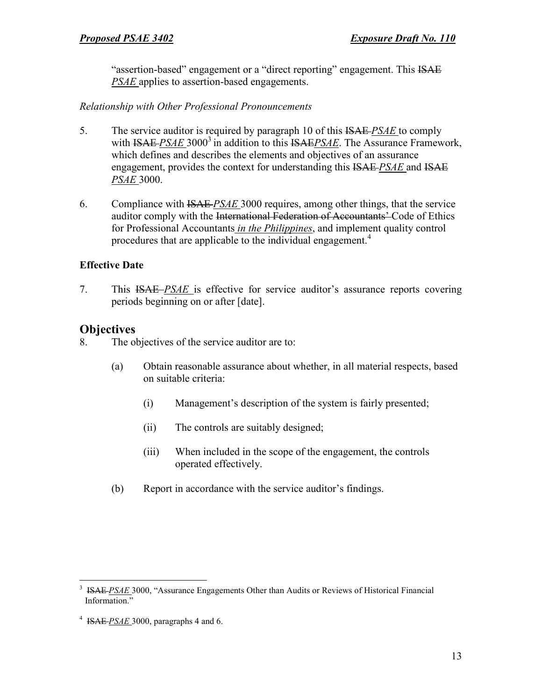"assertion-based" engagement or a "direct reporting" engagement. This ISAE PSAE applies to assertion-based engagements.

# Relationship with Other Professional Pronouncements

- 5. The service auditor is required by paragraph 10 of this ISAE *PSAE* to comply with ISAE  $PSAE$  3000<sup>3</sup> in addition to this ISAE *PSAE*. The Assurance Framework, which defines and describes the elements and objectives of an assurance engagement, provides the context for understanding this ISAE *PSAE* and ISAE PSAE 3000.
- 6. Compliance with  $\frac{ISAE\text{ }PSAE}{SAE}$  3000 requires, among other things, that the service auditor comply with the International Federation of Accountants' Code of Ethics for Professional Accountants in the Philippines, and implement quality control procedures that are applicable to the individual engagement.<sup>4</sup>

# Effective Date

7. This ISAE *PSAE* is effective for service auditor's assurance reports covering periods beginning on or after [date].

# **Objectives**

- 8. The objectives of the service auditor are to:
	- (a) Obtain reasonable assurance about whether, in all material respects, based on suitable criteria:
		- (i) Management's description of the system is fairly presented;
		- (ii) The controls are suitably designed;
		- (iii) When included in the scope of the engagement, the controls operated effectively.
	- (b) Report in accordance with the service auditor's findings.

**EXAMEM 1988**<br><sup>3</sup> ISAE-PSAE 3000, "Assurance Engagements Other than Audits or Reviews of Historical Financial Information."

<sup>&</sup>lt;sup>4</sup> ISAE *PSAE* 3000, paragraphs 4 and 6.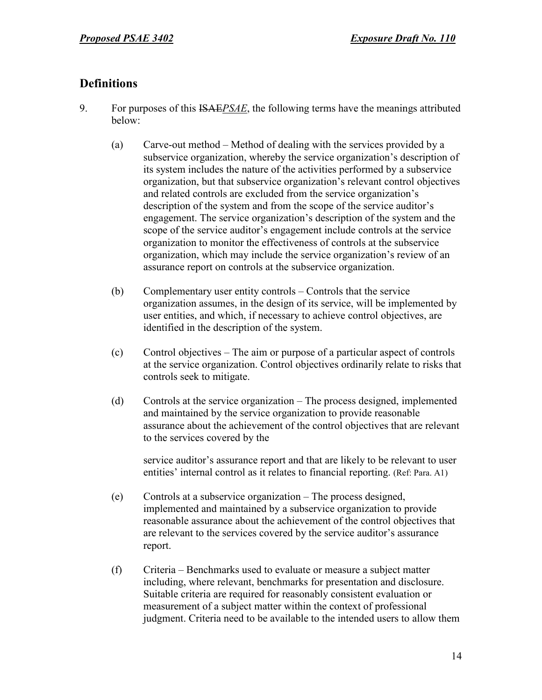# **Definitions**

- 9. For purposes of this ISAEPSAE, the following terms have the meanings attributed below:
	- (a) Carve-out method Method of dealing with the services provided by a subservice organization, whereby the service organization's description of its system includes the nature of the activities performed by a subservice organization, but that subservice organization's relevant control objectives and related controls are excluded from the service organization's description of the system and from the scope of the service auditor's engagement. The service organization's description of the system and the scope of the service auditor's engagement include controls at the service organization to monitor the effectiveness of controls at the subservice organization, which may include the service organization's review of an assurance report on controls at the subservice organization.
	- (b) Complementary user entity controls Controls that the service organization assumes, in the design of its service, will be implemented by user entities, and which, if necessary to achieve control objectives, are identified in the description of the system.
	- (c) Control objectives The aim or purpose of a particular aspect of controls at the service organization. Control objectives ordinarily relate to risks that controls seek to mitigate.
	- (d) Controls at the service organization The process designed, implemented and maintained by the service organization to provide reasonable assurance about the achievement of the control objectives that are relevant to the services covered by the

service auditor's assurance report and that are likely to be relevant to user entities' internal control as it relates to financial reporting. (Ref: Para. A1)

- (e) Controls at a subservice organization The process designed, implemented and maintained by a subservice organization to provide reasonable assurance about the achievement of the control objectives that are relevant to the services covered by the service auditor's assurance report.
- (f) Criteria Benchmarks used to evaluate or measure a subject matter including, where relevant, benchmarks for presentation and disclosure. Suitable criteria are required for reasonably consistent evaluation or measurement of a subject matter within the context of professional judgment. Criteria need to be available to the intended users to allow them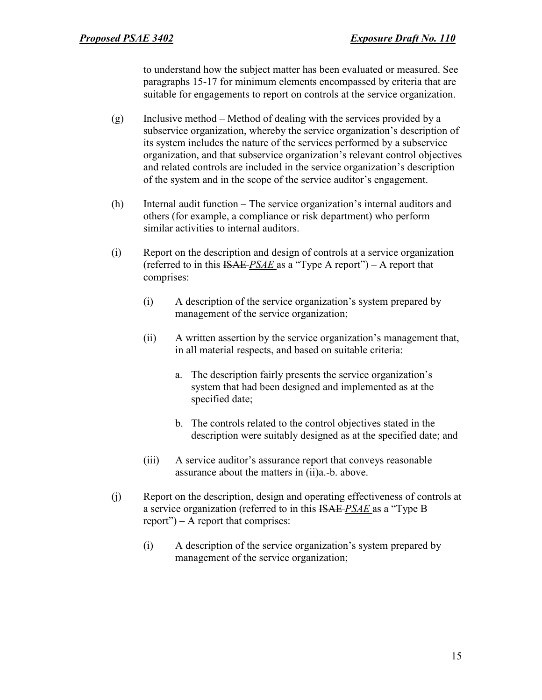to understand how the subject matter has been evaluated or measured. See paragraphs 15-17 for minimum elements encompassed by criteria that are suitable for engagements to report on controls at the service organization.

- (g) Inclusive method Method of dealing with the services provided by a subservice organization, whereby the service organization's description of its system includes the nature of the services performed by a subservice organization, and that subservice organization's relevant control objectives and related controls are included in the service organization's description of the system and in the scope of the service auditor's engagement.
- (h) Internal audit function The service organization's internal auditors and others (for example, a compliance or risk department) who perform similar activities to internal auditors.
- (i) Report on the description and design of controls at a service organization (referred to in this  $\frac{ISAE\text{-}PSAE}{SAE}$  as a "Type A report") – A report that comprises:
	- (i) A description of the service organization's system prepared by management of the service organization;
	- (ii) A written assertion by the service organization's management that, in all material respects, and based on suitable criteria:
		- a. The description fairly presents the service organization's system that had been designed and implemented as at the specified date;
		- b. The controls related to the control objectives stated in the description were suitably designed as at the specified date; and
	- (iii) A service auditor's assurance report that conveys reasonable assurance about the matters in (ii)a.-b. above.
- (j) Report on the description, design and operating effectiveness of controls at a service organization (referred to in this ISAE PSAE as a "Type B report") – A report that comprises:
	- (i) A description of the service organization's system prepared by management of the service organization;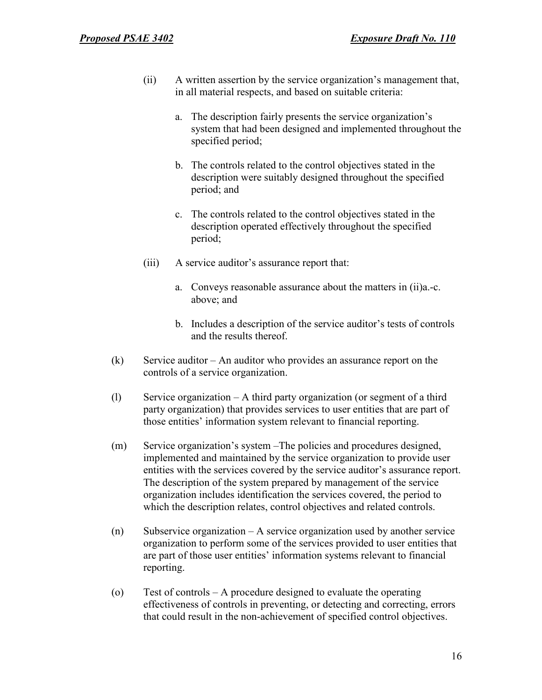- (ii) A written assertion by the service organization's management that, in all material respects, and based on suitable criteria:
	- a. The description fairly presents the service organization's system that had been designed and implemented throughout the specified period;
	- b. The controls related to the control objectives stated in the description were suitably designed throughout the specified period; and
	- c. The controls related to the control objectives stated in the description operated effectively throughout the specified period;
- (iii) A service auditor's assurance report that:
	- a. Conveys reasonable assurance about the matters in (ii)a.-c. above; and
	- b. Includes a description of the service auditor's tests of controls and the results thereof.
- $(k)$  Service auditor An auditor who provides an assurance report on the controls of a service organization.
- (l) Service organization A third party organization (or segment of a third party organization) that provides services to user entities that are part of those entities' information system relevant to financial reporting.
- (m) Service organization's system –The policies and procedures designed, implemented and maintained by the service organization to provide user entities with the services covered by the service auditor's assurance report. The description of the system prepared by management of the service organization includes identification the services covered, the period to which the description relates, control objectives and related controls.
- (n) Subservice organization A service organization used by another service organization to perform some of the services provided to user entities that are part of those user entities' information systems relevant to financial reporting.
- (o) Test of controls A procedure designed to evaluate the operating effectiveness of controls in preventing, or detecting and correcting, errors that could result in the non-achievement of specified control objectives.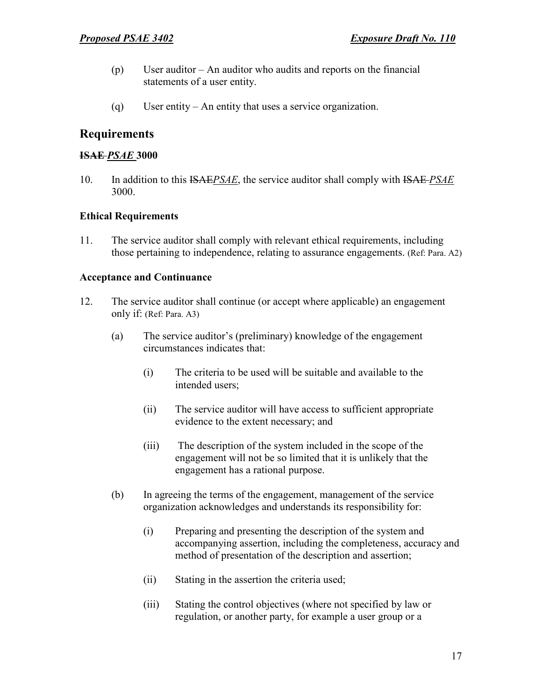- (p) User auditor An auditor who audits and reports on the financial statements of a user entity.
- (q) User entity An entity that uses a service organization.

# **Requirements**

#### ISAE PSAE 3000

10. In addition to this  $\frac{1}{8A}EPSAE$ , the service auditor shall comply with  $\frac{1}{8A}EPSAE$ 3000.

# Ethical Requirements

11. The service auditor shall comply with relevant ethical requirements, including those pertaining to independence, relating to assurance engagements. (Ref: Para. A2)

# Acceptance and Continuance

- 12. The service auditor shall continue (or accept where applicable) an engagement only if: (Ref: Para. A3)
	- (a) The service auditor's (preliminary) knowledge of the engagement circumstances indicates that:
		- (i) The criteria to be used will be suitable and available to the intended users;
		- (ii) The service auditor will have access to sufficient appropriate evidence to the extent necessary; and
		- (iii) The description of the system included in the scope of the engagement will not be so limited that it is unlikely that the engagement has a rational purpose.
	- (b) In agreeing the terms of the engagement, management of the service organization acknowledges and understands its responsibility for:
		- (i) Preparing and presenting the description of the system and accompanying assertion, including the completeness, accuracy and method of presentation of the description and assertion;
		- (ii) Stating in the assertion the criteria used;
		- (iii) Stating the control objectives (where not specified by law or regulation, or another party, for example a user group or a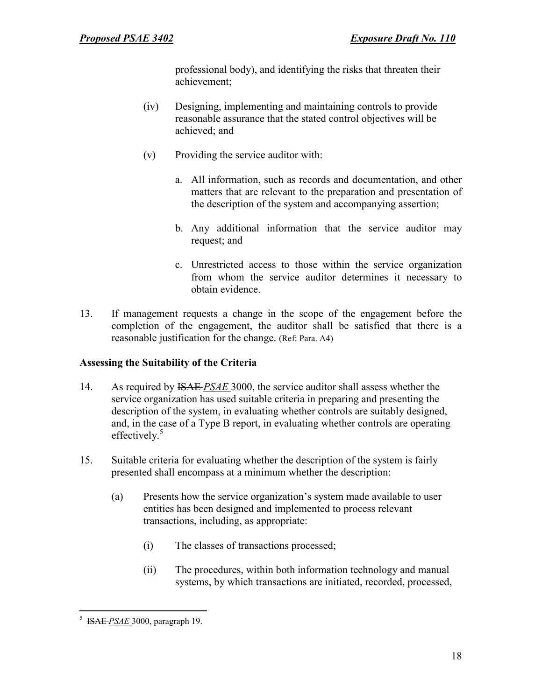professional body), and identifying the risks that threaten their achievement;

- (iv) Designing, implementing and maintaining controls to provide reasonable assurance that the stated control objectives will be achieved; and
- (v) Providing the service auditor with:
	- a. All information, such as records and documentation, and other matters that are relevant to the preparation and presentation of the description of the system and accompanying assertion;
	- b. Any additional information that the service auditor may request; and
	- c. Unrestricted access to those within the service organization from whom the service auditor determines it necessary to obtain evidence.
- 13. If management requests a change in the scope of the engagement before the completion of the engagement, the auditor shall be satisfied that there is a reasonable justification for the change. (Ref: Para. A4)

# Assessing the Suitability of the Criteria

- 14. As required by ISAE *PSAE* 3000, the service auditor shall assess whether the service organization has used suitable criteria in preparing and presenting the description of the system, in evaluating whether controls are suitably designed, and, in the case of a Type B report, in evaluating whether controls are operating effectively. $5$
- 15. Suitable criteria for evaluating whether the description of the system is fairly presented shall encompass at a minimum whether the description:
	- (a) Presents how the service organization's system made available to user entities has been designed and implemented to process relevant transactions, including, as appropriate:
		- (i) The classes of transactions processed;
		- (ii) The procedures, within both information technology and manual systems, by which transactions are initiated, recorded, processed,

<sup>&</sup>lt;sup>5</sup> I<del>SAE *PSAE*</del> 3000, paragraph 19.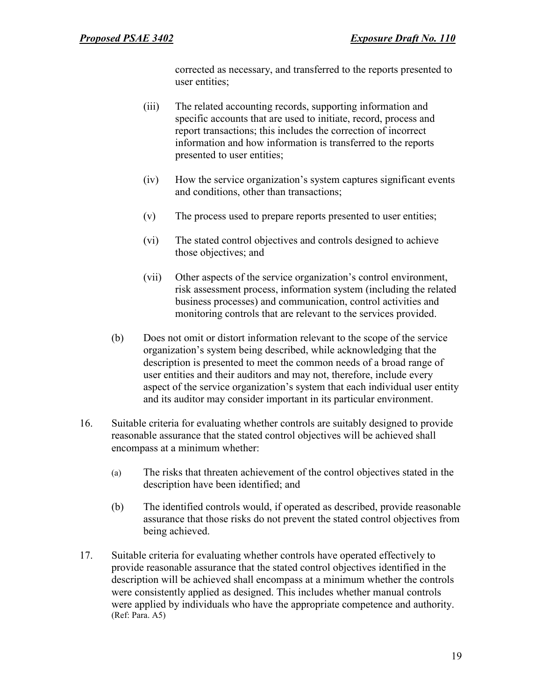corrected as necessary, and transferred to the reports presented to user entities;

- (iii) The related accounting records, supporting information and specific accounts that are used to initiate, record, process and report transactions; this includes the correction of incorrect information and how information is transferred to the reports presented to user entities;
- (iv) How the service organization's system captures significant events and conditions, other than transactions;
- (v) The process used to prepare reports presented to user entities;
- (vi) The stated control objectives and controls designed to achieve those objectives; and
- (vii) Other aspects of the service organization's control environment, risk assessment process, information system (including the related business processes) and communication, control activities and monitoring controls that are relevant to the services provided.
- (b) Does not omit or distort information relevant to the scope of the service organization's system being described, while acknowledging that the description is presented to meet the common needs of a broad range of user entities and their auditors and may not, therefore, include every aspect of the service organization's system that each individual user entity and its auditor may consider important in its particular environment.
- 16. Suitable criteria for evaluating whether controls are suitably designed to provide reasonable assurance that the stated control objectives will be achieved shall encompass at a minimum whether:
	- (a) The risks that threaten achievement of the control objectives stated in the description have been identified; and
	- (b) The identified controls would, if operated as described, provide reasonable assurance that those risks do not prevent the stated control objectives from being achieved.
- 17. Suitable criteria for evaluating whether controls have operated effectively to provide reasonable assurance that the stated control objectives identified in the description will be achieved shall encompass at a minimum whether the controls were consistently applied as designed. This includes whether manual controls were applied by individuals who have the appropriate competence and authority. (Ref: Para. A5)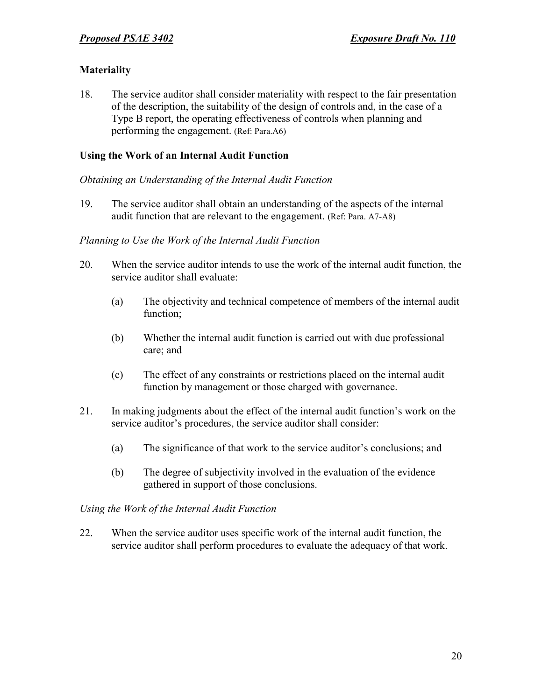# **Materiality**

18. The service auditor shall consider materiality with respect to the fair presentation of the description, the suitability of the design of controls and, in the case of a Type B report, the operating effectiveness of controls when planning and performing the engagement. (Ref: Para.A6)

# Using the Work of an Internal Audit Function

Obtaining an Understanding of the Internal Audit Function

19. The service auditor shall obtain an understanding of the aspects of the internal audit function that are relevant to the engagement. (Ref: Para. A7-A8)

#### Planning to Use the Work of the Internal Audit Function

- 20. When the service auditor intends to use the work of the internal audit function, the service auditor shall evaluate:
	- (a) The objectivity and technical competence of members of the internal audit function;
	- (b) Whether the internal audit function is carried out with due professional care; and
	- (c) The effect of any constraints or restrictions placed on the internal audit function by management or those charged with governance.
- 21. In making judgments about the effect of the internal audit function's work on the service auditor's procedures, the service auditor shall consider:
	- (a) The significance of that work to the service auditor's conclusions; and
	- (b) The degree of subjectivity involved in the evaluation of the evidence gathered in support of those conclusions.

# Using the Work of the Internal Audit Function

22. When the service auditor uses specific work of the internal audit function, the service auditor shall perform procedures to evaluate the adequacy of that work.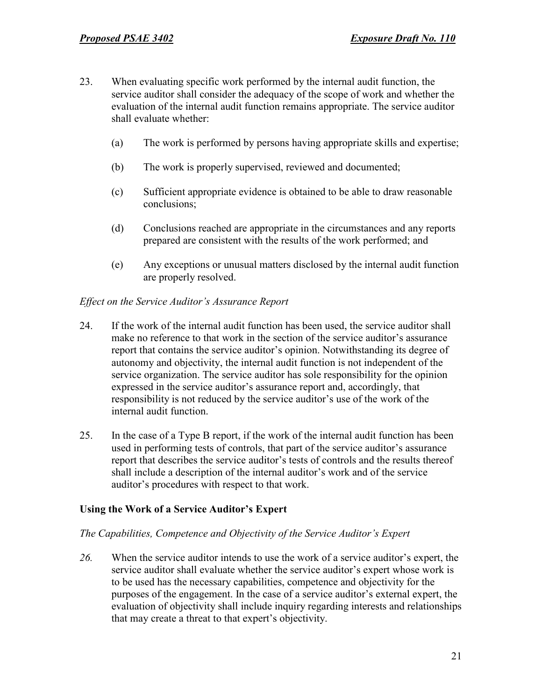- 23. When evaluating specific work performed by the internal audit function, the service auditor shall consider the adequacy of the scope of work and whether the evaluation of the internal audit function remains appropriate. The service auditor shall evaluate whether:
	- (a) The work is performed by persons having appropriate skills and expertise;
	- (b) The work is properly supervised, reviewed and documented;
	- (c) Sufficient appropriate evidence is obtained to be able to draw reasonable conclusions;
	- (d) Conclusions reached are appropriate in the circumstances and any reports prepared are consistent with the results of the work performed; and
	- (e) Any exceptions or unusual matters disclosed by the internal audit function are properly resolved.

# Effect on the Service Auditor's Assurance Report

- 24. If the work of the internal audit function has been used, the service auditor shall make no reference to that work in the section of the service auditor's assurance report that contains the service auditor's opinion. Notwithstanding its degree of autonomy and objectivity, the internal audit function is not independent of the service organization. The service auditor has sole responsibility for the opinion expressed in the service auditor's assurance report and, accordingly, that responsibility is not reduced by the service auditor's use of the work of the internal audit function.
- 25. In the case of a Type B report, if the work of the internal audit function has been used in performing tests of controls, that part of the service auditor's assurance report that describes the service auditor's tests of controls and the results thereof shall include a description of the internal auditor's work and of the service auditor's procedures with respect to that work.

# Using the Work of a Service Auditor's Expert

#### The Capabilities, Competence and Objectivity of the Service Auditor's Expert

26. When the service auditor intends to use the work of a service auditor's expert, the service auditor shall evaluate whether the service auditor's expert whose work is to be used has the necessary capabilities, competence and objectivity for the purposes of the engagement. In the case of a service auditor's external expert, the evaluation of objectivity shall include inquiry regarding interests and relationships that may create a threat to that expert's objectivity.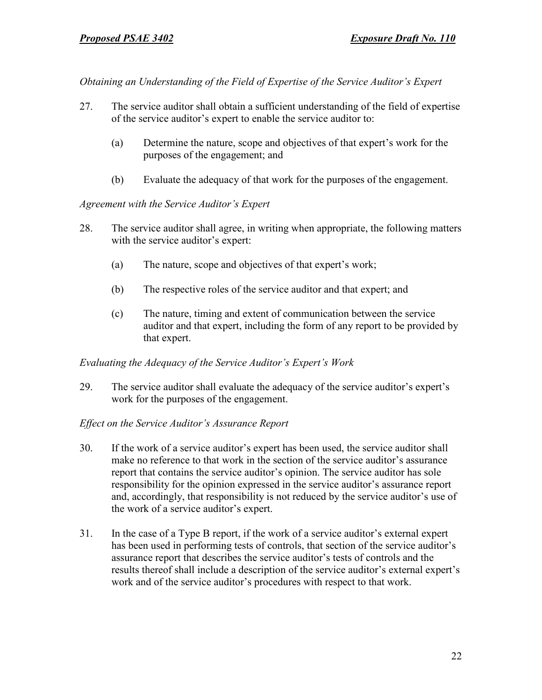Obtaining an Understanding of the Field of Expertise of the Service Auditor's Expert

- 27. The service auditor shall obtain a sufficient understanding of the field of expertise of the service auditor's expert to enable the service auditor to:
	- (a) Determine the nature, scope and objectives of that expert's work for the purposes of the engagement; and
	- (b) Evaluate the adequacy of that work for the purposes of the engagement.

Agreement with the Service Auditor's Expert

- 28. The service auditor shall agree, in writing when appropriate, the following matters with the service auditor's expert:
	- (a) The nature, scope and objectives of that expert's work;
	- (b) The respective roles of the service auditor and that expert; and
	- (c) The nature, timing and extent of communication between the service auditor and that expert, including the form of any report to be provided by that expert.

#### Evaluating the Adequacy of the Service Auditor's Expert's Work

29. The service auditor shall evaluate the adequacy of the service auditor's expert's work for the purposes of the engagement.

#### Effect on the Service Auditor's Assurance Report

- 30. If the work of a service auditor's expert has been used, the service auditor shall make no reference to that work in the section of the service auditor's assurance report that contains the service auditor's opinion. The service auditor has sole responsibility for the opinion expressed in the service auditor's assurance report and, accordingly, that responsibility is not reduced by the service auditor's use of the work of a service auditor's expert.
- 31. In the case of a Type B report, if the work of a service auditor's external expert has been used in performing tests of controls, that section of the service auditor's assurance report that describes the service auditor's tests of controls and the results thereof shall include a description of the service auditor's external expert's work and of the service auditor's procedures with respect to that work.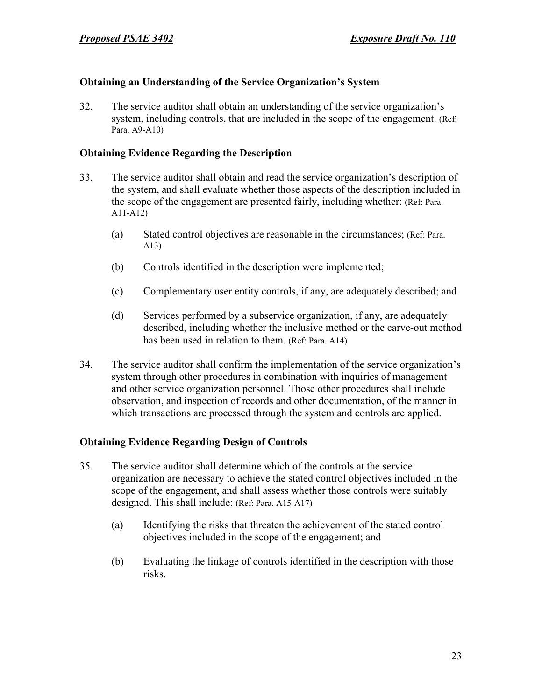# Obtaining an Understanding of the Service Organization's System

32. The service auditor shall obtain an understanding of the service organization's system, including controls, that are included in the scope of the engagement. (Ref: Para. A9-A10)

# Obtaining Evidence Regarding the Description

- 33. The service auditor shall obtain and read the service organization's description of the system, and shall evaluate whether those aspects of the description included in the scope of the engagement are presented fairly, including whether: (Ref: Para. A11-A12)
	- (a) Stated control objectives are reasonable in the circumstances; (Ref: Para. A13)
	- (b) Controls identified in the description were implemented;
	- (c) Complementary user entity controls, if any, are adequately described; and
	- (d) Services performed by a subservice organization, if any, are adequately described, including whether the inclusive method or the carve-out method has been used in relation to them. (Ref: Para. A14)
- 34. The service auditor shall confirm the implementation of the service organization's system through other procedures in combination with inquiries of management and other service organization personnel. Those other procedures shall include observation, and inspection of records and other documentation, of the manner in which transactions are processed through the system and controls are applied.

# Obtaining Evidence Regarding Design of Controls

- 35. The service auditor shall determine which of the controls at the service organization are necessary to achieve the stated control objectives included in the scope of the engagement, and shall assess whether those controls were suitably designed. This shall include: (Ref: Para. A15-A17)
	- (a) Identifying the risks that threaten the achievement of the stated control objectives included in the scope of the engagement; and
	- (b) Evaluating the linkage of controls identified in the description with those risks.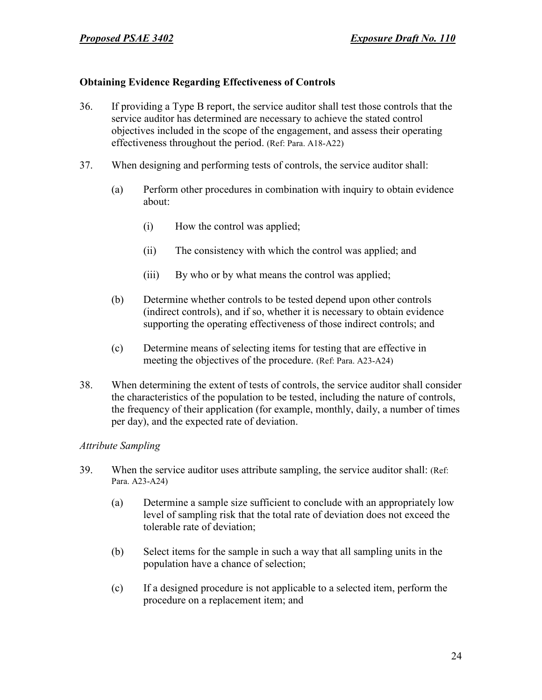# Obtaining Evidence Regarding Effectiveness of Controls

- 36. If providing a Type B report, the service auditor shall test those controls that the service auditor has determined are necessary to achieve the stated control objectives included in the scope of the engagement, and assess their operating effectiveness throughout the period. (Ref: Para. A18-A22)
- 37. When designing and performing tests of controls, the service auditor shall:
	- (a) Perform other procedures in combination with inquiry to obtain evidence about:
		- (i) How the control was applied;
		- (ii) The consistency with which the control was applied; and
		- (iii) By who or by what means the control was applied;
	- (b) Determine whether controls to be tested depend upon other controls (indirect controls), and if so, whether it is necessary to obtain evidence supporting the operating effectiveness of those indirect controls; and
	- (c) Determine means of selecting items for testing that are effective in meeting the objectives of the procedure. (Ref: Para. A23-A24)
- 38. When determining the extent of tests of controls, the service auditor shall consider the characteristics of the population to be tested, including the nature of controls, the frequency of their application (for example, monthly, daily, a number of times per day), and the expected rate of deviation.

# Attribute Sampling

- 39. When the service auditor uses attribute sampling, the service auditor shall: (Ref: Para. A23-A24)
	- (a) Determine a sample size sufficient to conclude with an appropriately low level of sampling risk that the total rate of deviation does not exceed the tolerable rate of deviation;
	- (b) Select items for the sample in such a way that all sampling units in the population have a chance of selection;
	- (c) If a designed procedure is not applicable to a selected item, perform the procedure on a replacement item; and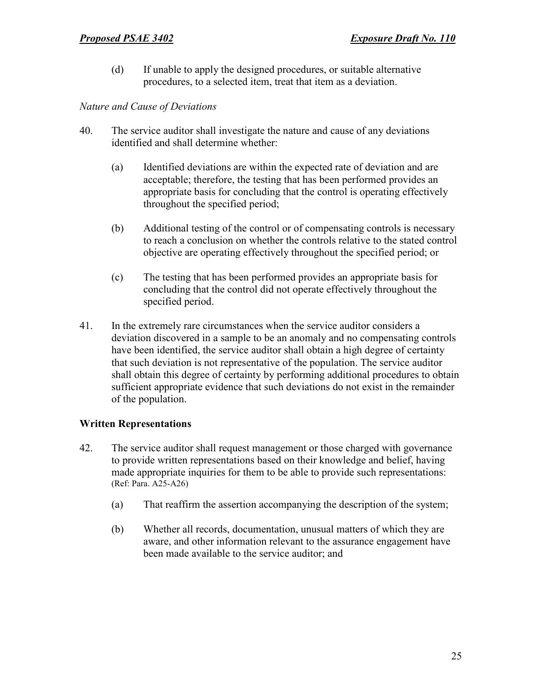(d) If unable to apply the designed procedures, or suitable alternative procedures, to a selected item, treat that item as a deviation.

# Nature and Cause of Deviations

- 40. The service auditor shall investigate the nature and cause of any deviations identified and shall determine whether:
	- (a) Identified deviations are within the expected rate of deviation and are acceptable; therefore, the testing that has been performed provides an appropriate basis for concluding that the control is operating effectively throughout the specified period;
	- (b) Additional testing of the control or of compensating controls is necessary to reach a conclusion on whether the controls relative to the stated control objective are operating effectively throughout the specified period; or
	- (c) The testing that has been performed provides an appropriate basis for concluding that the control did not operate effectively throughout the specified period.
- 41. In the extremely rare circumstances when the service auditor considers a deviation discovered in a sample to be an anomaly and no compensating controls have been identified, the service auditor shall obtain a high degree of certainty that such deviation is not representative of the population. The service auditor shall obtain this degree of certainty by performing additional procedures to obtain sufficient appropriate evidence that such deviations do not exist in the remainder of the population.

# Written Representations

- 42. The service auditor shall request management or those charged with governance to provide written representations based on their knowledge and belief, having made appropriate inquiries for them to be able to provide such representations: (Ref: Para. A25-A26)
	- (a) That reaffirm the assertion accompanying the description of the system;
	- (b) Whether all records, documentation, unusual matters of which they are aware, and other information relevant to the assurance engagement have been made available to the service auditor; and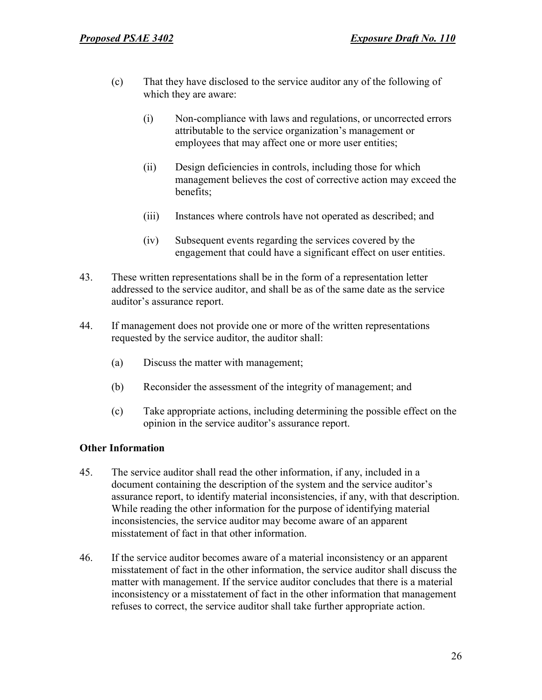- (c) That they have disclosed to the service auditor any of the following of which they are aware:
	- (i) Non-compliance with laws and regulations, or uncorrected errors attributable to the service organization's management or employees that may affect one or more user entities;
	- (ii) Design deficiencies in controls, including those for which management believes the cost of corrective action may exceed the benefits;
	- (iii) Instances where controls have not operated as described; and
	- (iv) Subsequent events regarding the services covered by the engagement that could have a significant effect on user entities.
- 43. These written representations shall be in the form of a representation letter addressed to the service auditor, and shall be as of the same date as the service auditor's assurance report.
- 44. If management does not provide one or more of the written representations requested by the service auditor, the auditor shall:
	- (a) Discuss the matter with management;
	- (b) Reconsider the assessment of the integrity of management; and
	- (c) Take appropriate actions, including determining the possible effect on the opinion in the service auditor's assurance report.

# Other Information

- 45. The service auditor shall read the other information, if any, included in a document containing the description of the system and the service auditor's assurance report, to identify material inconsistencies, if any, with that description. While reading the other information for the purpose of identifying material inconsistencies, the service auditor may become aware of an apparent misstatement of fact in that other information.
- 46. If the service auditor becomes aware of a material inconsistency or an apparent misstatement of fact in the other information, the service auditor shall discuss the matter with management. If the service auditor concludes that there is a material inconsistency or a misstatement of fact in the other information that management refuses to correct, the service auditor shall take further appropriate action.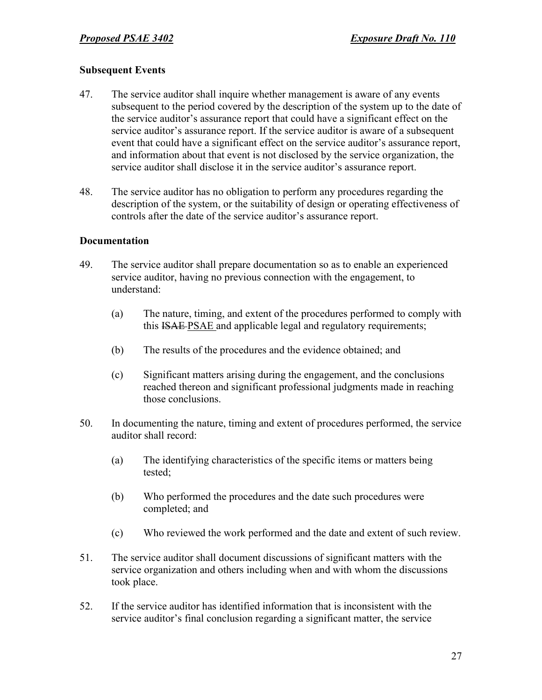#### Subsequent Events

- 47. The service auditor shall inquire whether management is aware of any events subsequent to the period covered by the description of the system up to the date of the service auditor's assurance report that could have a significant effect on the service auditor's assurance report. If the service auditor is aware of a subsequent event that could have a significant effect on the service auditor's assurance report, and information about that event is not disclosed by the service organization, the service auditor shall disclose it in the service auditor's assurance report.
- 48. The service auditor has no obligation to perform any procedures regarding the description of the system, or the suitability of design or operating effectiveness of controls after the date of the service auditor's assurance report.

#### **Documentation**

- 49. The service auditor shall prepare documentation so as to enable an experienced service auditor, having no previous connection with the engagement, to understand:
	- (a) The nature, timing, and extent of the procedures performed to comply with this ISAE PSAE and applicable legal and regulatory requirements;
	- (b) The results of the procedures and the evidence obtained; and
	- (c) Significant matters arising during the engagement, and the conclusions reached thereon and significant professional judgments made in reaching those conclusions.
- 50. In documenting the nature, timing and extent of procedures performed, the service auditor shall record:
	- (a) The identifying characteristics of the specific items or matters being tested;
	- (b) Who performed the procedures and the date such procedures were completed; and
	- (c) Who reviewed the work performed and the date and extent of such review.
- 51. The service auditor shall document discussions of significant matters with the service organization and others including when and with whom the discussions took place.
- 52. If the service auditor has identified information that is inconsistent with the service auditor's final conclusion regarding a significant matter, the service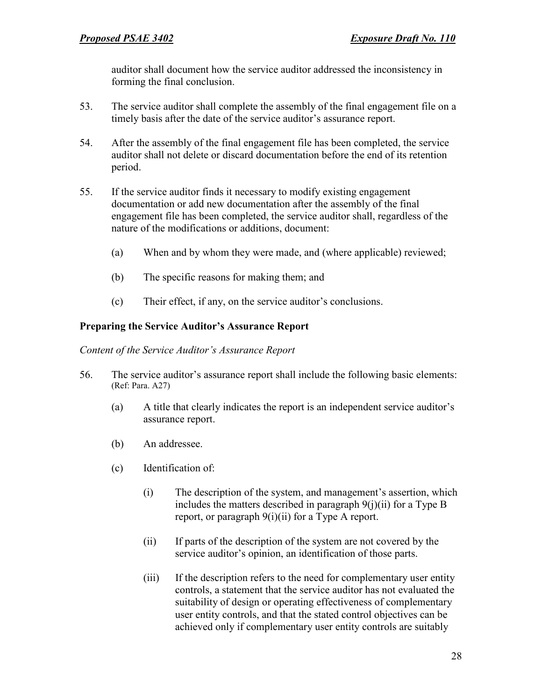auditor shall document how the service auditor addressed the inconsistency in forming the final conclusion.

- 53. The service auditor shall complete the assembly of the final engagement file on a timely basis after the date of the service auditor's assurance report.
- 54. After the assembly of the final engagement file has been completed, the service auditor shall not delete or discard documentation before the end of its retention period.
- 55. If the service auditor finds it necessary to modify existing engagement documentation or add new documentation after the assembly of the final engagement file has been completed, the service auditor shall, regardless of the nature of the modifications or additions, document:
	- (a) When and by whom they were made, and (where applicable) reviewed;
	- (b) The specific reasons for making them; and
	- (c) Their effect, if any, on the service auditor's conclusions.

# Preparing the Service Auditor's Assurance Report

Content of the Service Auditor's Assurance Report

- 56. The service auditor's assurance report shall include the following basic elements: (Ref: Para. A27)
	- (a) A title that clearly indicates the report is an independent service auditor's assurance report.
	- (b) An addressee.
	- (c) Identification of:
		- (i) The description of the system, and management's assertion, which includes the matters described in paragraph  $9(i)(ii)$  for a Type B report, or paragraph 9(i)(ii) for a Type A report.
		- (ii) If parts of the description of the system are not covered by the service auditor's opinion, an identification of those parts.
		- (iii) If the description refers to the need for complementary user entity controls, a statement that the service auditor has not evaluated the suitability of design or operating effectiveness of complementary user entity controls, and that the stated control objectives can be achieved only if complementary user entity controls are suitably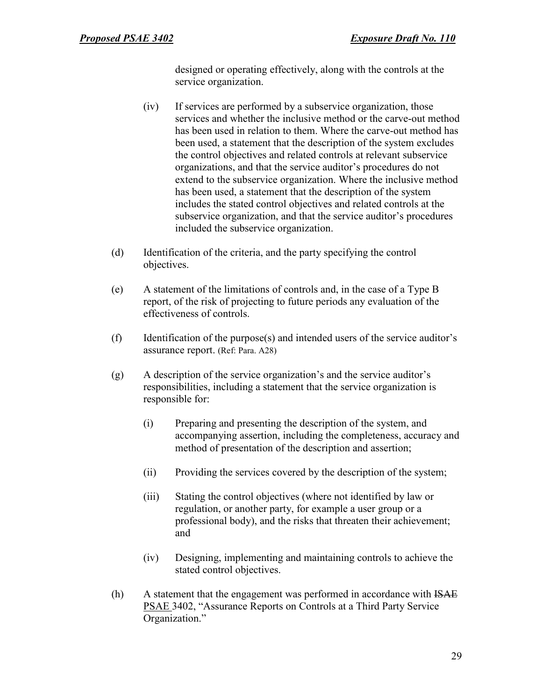designed or operating effectively, along with the controls at the service organization.

- (iv) If services are performed by a subservice organization, those services and whether the inclusive method or the carve-out method has been used in relation to them. Where the carve-out method has been used, a statement that the description of the system excludes the control objectives and related controls at relevant subservice organizations, and that the service auditor's procedures do not extend to the subservice organization. Where the inclusive method has been used, a statement that the description of the system includes the stated control objectives and related controls at the subservice organization, and that the service auditor's procedures included the subservice organization.
- (d) Identification of the criteria, and the party specifying the control objectives.
- (e) A statement of the limitations of controls and, in the case of a Type B report, of the risk of projecting to future periods any evaluation of the effectiveness of controls.
- (f) Identification of the purpose(s) and intended users of the service auditor's assurance report. (Ref: Para. A28)
- (g) A description of the service organization's and the service auditor's responsibilities, including a statement that the service organization is responsible for:
	- (i) Preparing and presenting the description of the system, and accompanying assertion, including the completeness, accuracy and method of presentation of the description and assertion;
	- (ii) Providing the services covered by the description of the system;
	- (iii) Stating the control objectives (where not identified by law or regulation, or another party, for example a user group or a professional body), and the risks that threaten their achievement; and
	- (iv) Designing, implementing and maintaining controls to achieve the stated control objectives.
- (h) A statement that the engagement was performed in accordance with ISAE PSAE 3402, "Assurance Reports on Controls at a Third Party Service Organization."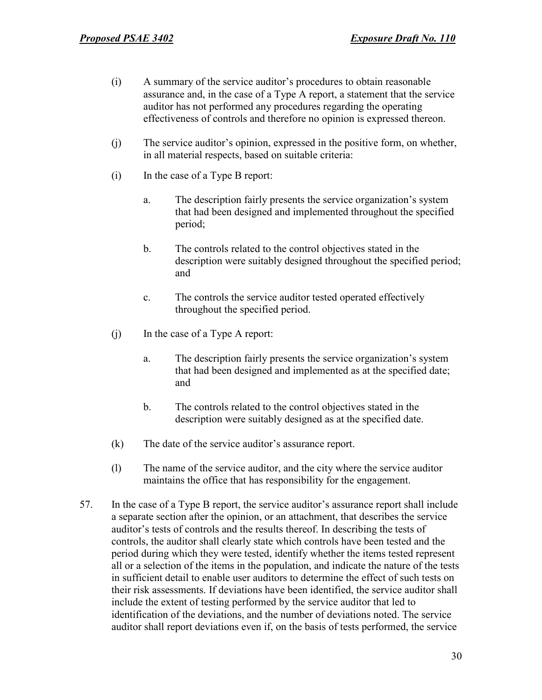- (i) A summary of the service auditor's procedures to obtain reasonable assurance and, in the case of a Type A report, a statement that the service auditor has not performed any procedures regarding the operating effectiveness of controls and therefore no opinion is expressed thereon.
- (j) The service auditor's opinion, expressed in the positive form, on whether, in all material respects, based on suitable criteria:
- (i) In the case of a Type B report:
	- a. The description fairly presents the service organization's system that had been designed and implemented throughout the specified period;
	- b. The controls related to the control objectives stated in the description were suitably designed throughout the specified period; and
	- c. The controls the service auditor tested operated effectively throughout the specified period.
- (j) In the case of a Type A report:
	- a. The description fairly presents the service organization's system that had been designed and implemented as at the specified date; and
	- b. The controls related to the control objectives stated in the description were suitably designed as at the specified date.
- (k) The date of the service auditor's assurance report.
- (l) The name of the service auditor, and the city where the service auditor maintains the office that has responsibility for the engagement.
- 57. In the case of a Type B report, the service auditor's assurance report shall include a separate section after the opinion, or an attachment, that describes the service auditor's tests of controls and the results thereof. In describing the tests of controls, the auditor shall clearly state which controls have been tested and the period during which they were tested, identify whether the items tested represent all or a selection of the items in the population, and indicate the nature of the tests in sufficient detail to enable user auditors to determine the effect of such tests on their risk assessments. If deviations have been identified, the service auditor shall include the extent of testing performed by the service auditor that led to identification of the deviations, and the number of deviations noted. The service auditor shall report deviations even if, on the basis of tests performed, the service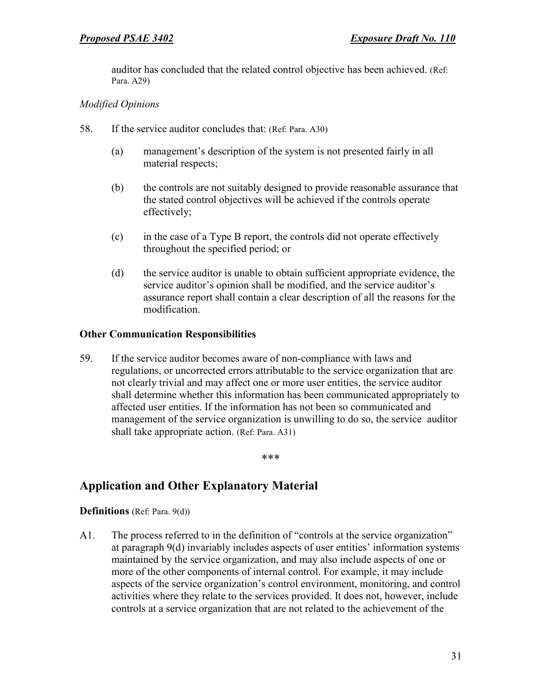auditor has concluded that the related control objective has been achieved. (Ref: Para. A29)

# Modified Opinions

- 58. If the service auditor concludes that: (Ref: Para. A30)
	- (a) management's description of the system is not presented fairly in all material respects;
	- (b) the controls are not suitably designed to provide reasonable assurance that the stated control objectives will be achieved if the controls operate effectively;
	- (c) in the case of a Type B report, the controls did not operate effectively throughout the specified period; or
	- (d) the service auditor is unable to obtain sufficient appropriate evidence, the service auditor's opinion shall be modified, and the service auditor's assurance report shall contain a clear description of all the reasons for the modification.

# Other Communication Responsibilities

59. If the service auditor becomes aware of non-compliance with laws and regulations, or uncorrected errors attributable to the service organization that are not clearly trivial and may affect one or more user entities, the service auditor shall determine whether this information has been communicated appropriately to affected user entities. If the information has not been so communicated and management of the service organization is unwilling to do so, the service auditor shall take appropriate action. (Ref: Para. A31)

\*\*\*

# Application and Other Explanatory Material

# Definitions (Ref: Para. 9(d))

A1. The process referred to in the definition of "controls at the service organization" at paragraph 9(d) invariably includes aspects of user entities' information systems maintained by the service organization, and may also include aspects of one or more of the other components of internal control. For example, it may include aspects of the service organization's control environment, monitoring, and control activities where they relate to the services provided. It does not, however, include controls at a service organization that are not related to the achievement of the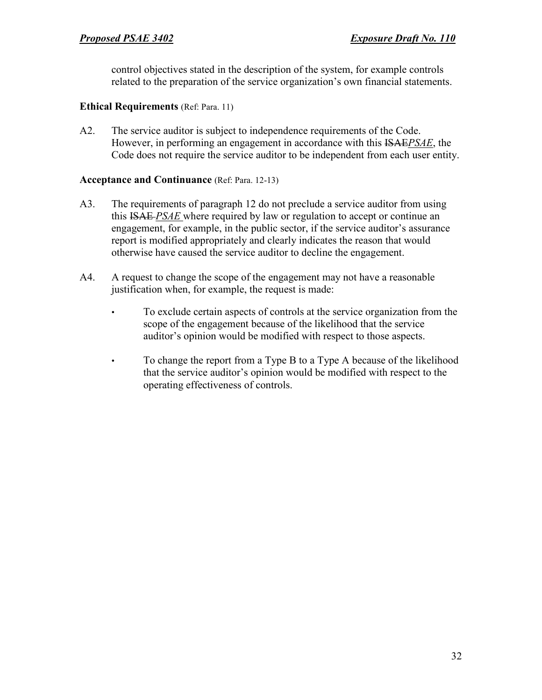control objectives stated in the description of the system, for example controls related to the preparation of the service organization's own financial statements.

# Ethical Requirements (Ref: Para. 11)

A2. The service auditor is subject to independence requirements of the Code. However, in performing an engagement in accordance with this ISAEPSAE, the Code does not require the service auditor to be independent from each user entity.

# Acceptance and Continuance (Ref: Para. 12-13)

- A3. The requirements of paragraph 12 do not preclude a service auditor from using this ISAE-PSAE where required by law or regulation to accept or continue an engagement, for example, in the public sector, if the service auditor's assurance report is modified appropriately and clearly indicates the reason that would otherwise have caused the service auditor to decline the engagement.
- A4. A request to change the scope of the engagement may not have a reasonable justification when, for example, the request is made:
	- To exclude certain aspects of controls at the service organization from the scope of the engagement because of the likelihood that the service auditor's opinion would be modified with respect to those aspects.
	- To change the report from a Type B to a Type A because of the likelihood that the service auditor's opinion would be modified with respect to the operating effectiveness of controls.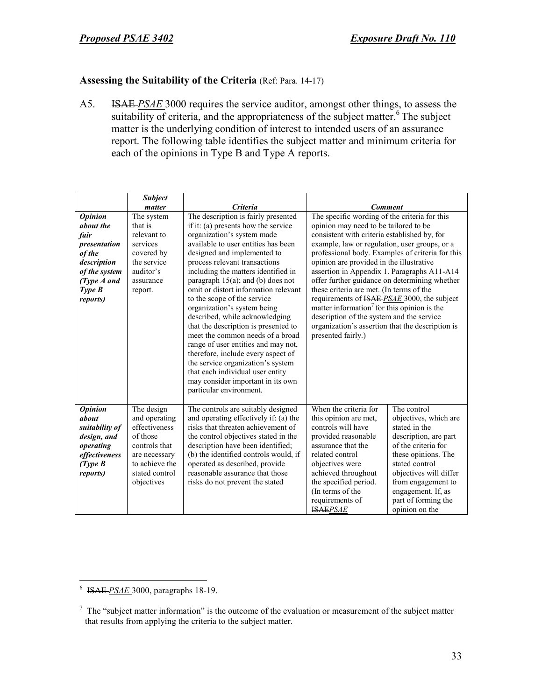#### Assessing the Suitability of the Criteria (Ref: Para. 14-17)

A5. **ISAE-PSAE 3000** requires the service auditor, amongst other things, to assess the suitability of criteria, and the appropriateness of the subject matter.<sup>6</sup> The subject matter is the underlying condition of interest to intended users of an assurance report. The following table identifies the subject matter and minimum criteria for each of the opinions in Type B and Type A reports.

|                                                                                                                                     | <b>Subject</b>                                                                                                                               |                                                                                                                                                                                                                                                                                                                                                                                                                                                                                                                                                                                                                                                                                                                                          |                                                                                                                                                                                                                                                                                                                                                                                                                                                                                                                                                                                                                                                                      |  |
|-------------------------------------------------------------------------------------------------------------------------------------|----------------------------------------------------------------------------------------------------------------------------------------------|------------------------------------------------------------------------------------------------------------------------------------------------------------------------------------------------------------------------------------------------------------------------------------------------------------------------------------------------------------------------------------------------------------------------------------------------------------------------------------------------------------------------------------------------------------------------------------------------------------------------------------------------------------------------------------------------------------------------------------------|----------------------------------------------------------------------------------------------------------------------------------------------------------------------------------------------------------------------------------------------------------------------------------------------------------------------------------------------------------------------------------------------------------------------------------------------------------------------------------------------------------------------------------------------------------------------------------------------------------------------------------------------------------------------|--|
|                                                                                                                                     | matter                                                                                                                                       | <b>Criteria</b>                                                                                                                                                                                                                                                                                                                                                                                                                                                                                                                                                                                                                                                                                                                          | <b>Comment</b>                                                                                                                                                                                                                                                                                                                                                                                                                                                                                                                                                                                                                                                       |  |
| <b>Opinion</b><br>about the<br>fair<br>presentation<br>of the<br>description<br>of the system<br>$Type A$ and<br>Type B<br>reports) | The system<br>that is<br>relevant to<br>services<br>covered by<br>the service<br>auditor's<br>assurance<br>report.                           | The description is fairly presented<br>if it: (a) presents how the service<br>organization's system made<br>available to user entities has been<br>designed and implemented to<br>process relevant transactions<br>including the matters identified in<br>paragraph $15(a)$ ; and (b) does not<br>omit or distort information relevant<br>to the scope of the service<br>organization's system being<br>described, while acknowledging<br>that the description is presented to<br>meet the common needs of a broad<br>range of user entities and may not,<br>therefore, include every aspect of<br>the service organization's system<br>that each individual user entity<br>may consider important in its own<br>particular environment. | The specific wording of the criteria for this<br>opinion may need to be tailored to be<br>consistent with criteria established by, for<br>example, law or regulation, user groups, or a<br>professional body. Examples of criteria for this<br>opinion are provided in the illustrative<br>assertion in Appendix 1. Paragraphs A11-A14<br>offer further guidance on determining whether<br>these criteria are met. (In terms of the<br>requirements of ISAE PSAE 3000, the subject<br>matter information <sup>7</sup> for this opinion is the<br>description of the system and the service<br>organization's assertion that the description is<br>presented fairly.) |  |
| <b>Opinion</b><br>about<br>suitability of<br>design, and<br>operating<br>effectiveness<br>Type B<br>reports)                        | The design<br>and operating<br>effectiveness<br>of those<br>controls that<br>are necessary<br>to achieve the<br>stated control<br>objectives | The controls are suitably designed<br>and operating effectively if: (a) the<br>risks that threaten achievement of<br>the control objectives stated in the<br>description have been identified;<br>(b) the identified controls would, if<br>operated as described, provide<br>reasonable assurance that those<br>risks do not prevent the stated                                                                                                                                                                                                                                                                                                                                                                                          | When the criteria for<br>The control<br>this opinion are met,<br>objectives, which are<br>controls will have<br>stated in the<br>description, are part<br>provided reasonable<br>of the criteria for<br>assurance that the<br>these opinions. The<br>related control<br>objectives were<br>stated control<br>achieved throughout<br>objectives will differ<br>the specified period.<br>from engagement to<br>(In terms of the<br>engagement. If, as<br>requirements of<br>part of forming the<br><b>ISAEPSAE</b><br>opinion on the                                                                                                                                   |  |

<sup>&</sup>lt;u>4</u><br>**6** ISAE-PSAE 3000, paragraphs 18-19.

 $<sup>7</sup>$  The "subject matter information" is the outcome of the evaluation or measurement of the subject matter</sup> that results from applying the criteria to the subject matter.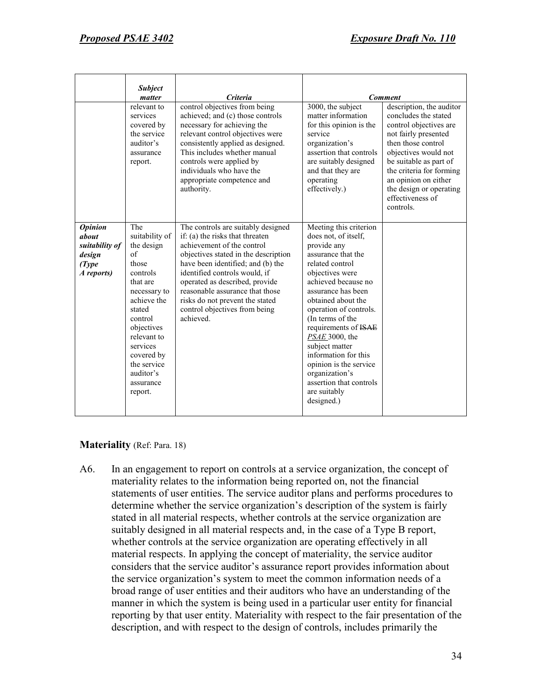|                                                                            | <b>Subject</b><br>matter<br>relevant to<br>services<br>covered by<br>the service<br>auditor's<br>assurance<br>report.                                                                                                                     | <b>Criteria</b><br>control objectives from being<br>achieved; and (c) those controls<br>necessary for achieving the<br>relevant control objectives were<br>consistently applied as designed.<br>This includes whether manual<br>controls were applied by<br>individuals who have the<br>appropriate competence and<br>authority.                                        | 3000, the subject<br>matter information<br>for this opinion is the<br>service<br>organization's<br>assertion that controls<br>are suitably designed<br>and that they are<br>operating<br>effectively.)                                                                                                                                                                                                                                | <b>Comment</b><br>description, the auditor<br>concludes the stated<br>control objectives are<br>not fairly presented<br>then those control<br>objectives would not<br>be suitable as part of<br>the criteria for forming<br>an opinion on either<br>the design or operating<br>effectiveness of<br>controls. |
|----------------------------------------------------------------------------|-------------------------------------------------------------------------------------------------------------------------------------------------------------------------------------------------------------------------------------------|-------------------------------------------------------------------------------------------------------------------------------------------------------------------------------------------------------------------------------------------------------------------------------------------------------------------------------------------------------------------------|---------------------------------------------------------------------------------------------------------------------------------------------------------------------------------------------------------------------------------------------------------------------------------------------------------------------------------------------------------------------------------------------------------------------------------------|--------------------------------------------------------------------------------------------------------------------------------------------------------------------------------------------------------------------------------------------------------------------------------------------------------------|
| <b>Opinion</b><br>about<br>suitability of<br>design<br>(Tvpe<br>A reports) | The<br>suitability of<br>the design<br>of<br>those<br>controls<br>that are<br>necessary to<br>achieve the<br>stated<br>control<br>objectives<br>relevant to<br>services<br>covered by<br>the service<br>auditor's<br>assurance<br>report. | The controls are suitably designed<br>if: (a) the risks that threaten<br>achievement of the control<br>objectives stated in the description<br>have been identified; and (b) the<br>identified controls would, if<br>operated as described, provide<br>reasonable assurance that those<br>risks do not prevent the stated<br>control objectives from being<br>achieved. | Meeting this criterion<br>does not, of itself,<br>provide any<br>assurance that the<br>related control<br>objectives were<br>achieved because no<br>assurance has been<br>obtained about the<br>operation of controls.<br>(In terms of the<br>requirements of ISAE<br>$PSAE$ 3000, the<br>subject matter<br>information for this<br>opinion is the service<br>organization's<br>assertion that controls<br>are suitably<br>designed.) |                                                                                                                                                                                                                                                                                                              |

# **Materiality** (Ref: Para. 18)

A6. In an engagement to report on controls at a service organization, the concept of materiality relates to the information being reported on, not the financial statements of user entities. The service auditor plans and performs procedures to determine whether the service organization's description of the system is fairly stated in all material respects, whether controls at the service organization are suitably designed in all material respects and, in the case of a Type B report, whether controls at the service organization are operating effectively in all material respects. In applying the concept of materiality, the service auditor considers that the service auditor's assurance report provides information about the service organization's system to meet the common information needs of a broad range of user entities and their auditors who have an understanding of the manner in which the system is being used in a particular user entity for financial reporting by that user entity. Materiality with respect to the fair presentation of the description, and with respect to the design of controls, includes primarily the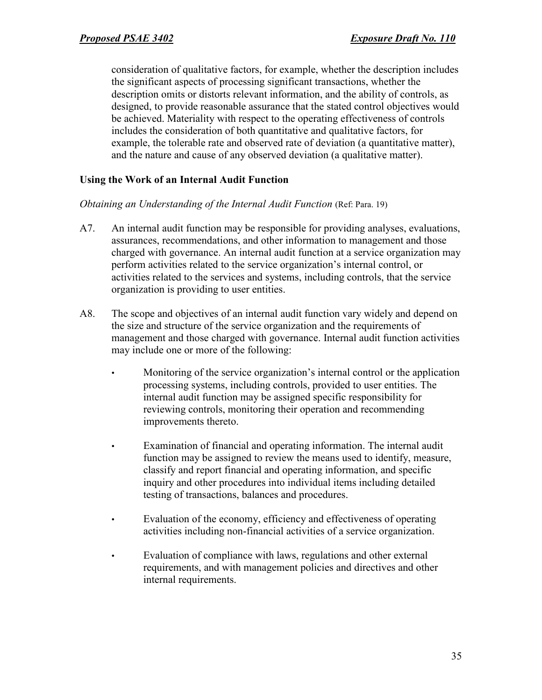consideration of qualitative factors, for example, whether the description includes the significant aspects of processing significant transactions, whether the description omits or distorts relevant information, and the ability of controls, as designed, to provide reasonable assurance that the stated control objectives would be achieved. Materiality with respect to the operating effectiveness of controls includes the consideration of both quantitative and qualitative factors, for example, the tolerable rate and observed rate of deviation (a quantitative matter), and the nature and cause of any observed deviation (a qualitative matter).

# Using the Work of an Internal Audit Function

Obtaining an Understanding of the Internal Audit Function (Ref: Para. 19)

- A7. An internal audit function may be responsible for providing analyses, evaluations, assurances, recommendations, and other information to management and those charged with governance. An internal audit function at a service organization may perform activities related to the service organization's internal control, or activities related to the services and systems, including controls, that the service organization is providing to user entities.
- A8. The scope and objectives of an internal audit function vary widely and depend on the size and structure of the service organization and the requirements of management and those charged with governance. Internal audit function activities may include one or more of the following:
	- Monitoring of the service organization's internal control or the application processing systems, including controls, provided to user entities. The internal audit function may be assigned specific responsibility for reviewing controls, monitoring their operation and recommending improvements thereto.
	- Examination of financial and operating information. The internal audit function may be assigned to review the means used to identify, measure, classify and report financial and operating information, and specific inquiry and other procedures into individual items including detailed testing of transactions, balances and procedures.
	- Evaluation of the economy, efficiency and effectiveness of operating activities including non-financial activities of a service organization.
	- Evaluation of compliance with laws, regulations and other external requirements, and with management policies and directives and other internal requirements.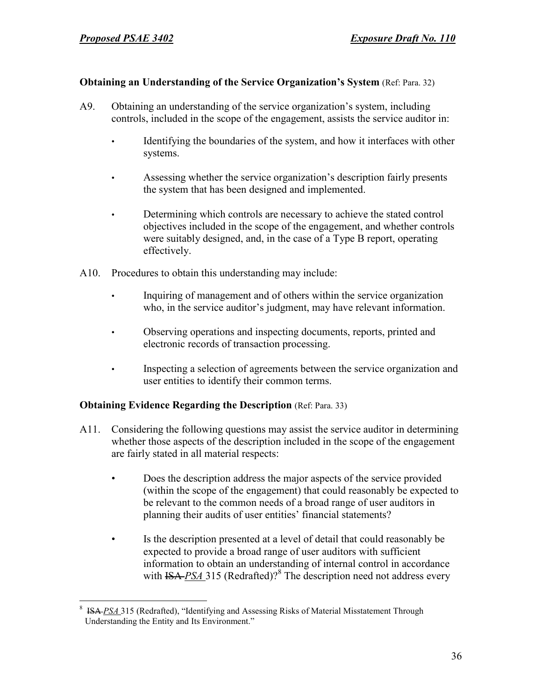#### Obtaining an Understanding of the Service Organization's System (Ref: Para. 32)

- A9. Obtaining an understanding of the service organization's system, including controls, included in the scope of the engagement, assists the service auditor in:
	- Identifying the boundaries of the system, and how it interfaces with other systems.
	- Assessing whether the service organization's description fairly presents the system that has been designed and implemented.
	- Determining which controls are necessary to achieve the stated control objectives included in the scope of the engagement, and whether controls were suitably designed, and, in the case of a Type B report, operating effectively.
- A10. Procedures to obtain this understanding may include:
	- Inquiring of management and of others within the service organization who, in the service auditor's judgment, may have relevant information.
	- Observing operations and inspecting documents, reports, printed and electronic records of transaction processing.
	- Inspecting a selection of agreements between the service organization and user entities to identify their common terms.

#### Obtaining Evidence Regarding the Description (Ref: Para. 33)

- A11. Considering the following questions may assist the service auditor in determining whether those aspects of the description included in the scope of the engagement are fairly stated in all material respects:
	- Does the description address the major aspects of the service provided (within the scope of the engagement) that could reasonably be expected to be relevant to the common needs of a broad range of user auditors in planning their audits of user entities' financial statements?
	- Is the description presented at a level of detail that could reasonably be expected to provide a broad range of user auditors with sufficient information to obtain an understanding of internal control in accordance with ISA- $PSA$  315 (Redrafted)?<sup>8</sup> The description need not address every

<sup>&</sup>lt;sup>8</sup> ISA PSA 315 (Redrafted), "Identifying and Assessing Risks of Material Misstatement Through Understanding the Entity and Its Environment."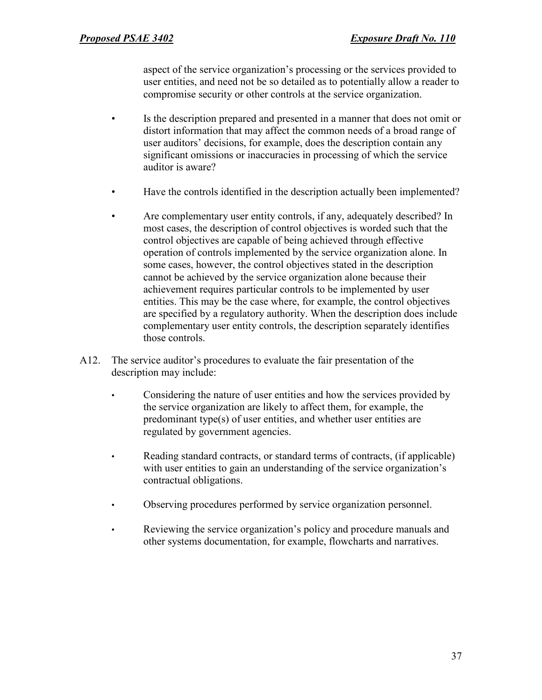aspect of the service organization's processing or the services provided to user entities, and need not be so detailed as to potentially allow a reader to compromise security or other controls at the service organization.

- Is the description prepared and presented in a manner that does not omit or distort information that may affect the common needs of a broad range of user auditors' decisions, for example, does the description contain any significant omissions or inaccuracies in processing of which the service auditor is aware?
- Have the controls identified in the description actually been implemented?
- Are complementary user entity controls, if any, adequately described? In most cases, the description of control objectives is worded such that the control objectives are capable of being achieved through effective operation of controls implemented by the service organization alone. In some cases, however, the control objectives stated in the description cannot be achieved by the service organization alone because their achievement requires particular controls to be implemented by user entities. This may be the case where, for example, the control objectives are specified by a regulatory authority. When the description does include complementary user entity controls, the description separately identifies those controls.
- A12. The service auditor's procedures to evaluate the fair presentation of the description may include:
	- Considering the nature of user entities and how the services provided by the service organization are likely to affect them, for example, the predominant type(s) of user entities, and whether user entities are regulated by government agencies.
	- Reading standard contracts, or standard terms of contracts, (if applicable) with user entities to gain an understanding of the service organization's contractual obligations.
	- Observing procedures performed by service organization personnel.
	- Reviewing the service organization's policy and procedure manuals and other systems documentation, for example, flowcharts and narratives.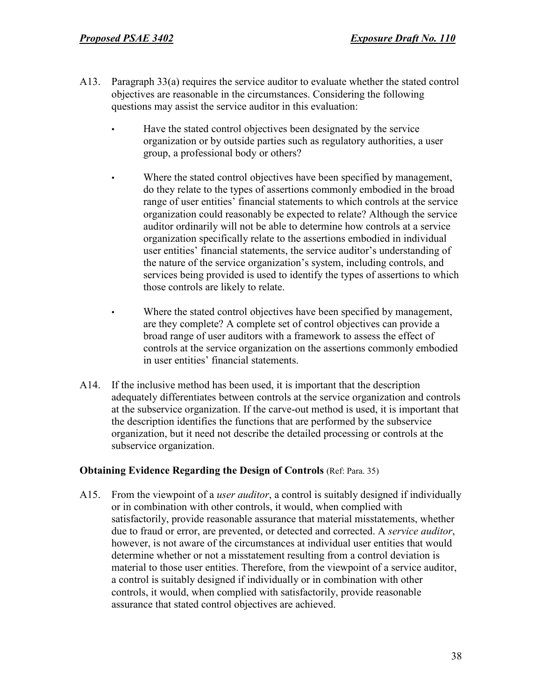- A13. Paragraph 33(a) requires the service auditor to evaluate whether the stated control objectives are reasonable in the circumstances. Considering the following questions may assist the service auditor in this evaluation:
	- Have the stated control objectives been designated by the service organization or by outside parties such as regulatory authorities, a user group, a professional body or others?
	- Where the stated control objectives have been specified by management, do they relate to the types of assertions commonly embodied in the broad range of user entities' financial statements to which controls at the service organization could reasonably be expected to relate? Although the service auditor ordinarily will not be able to determine how controls at a service organization specifically relate to the assertions embodied in individual user entities' financial statements, the service auditor's understanding of the nature of the service organization's system, including controls, and services being provided is used to identify the types of assertions to which those controls are likely to relate.
	- Where the stated control objectives have been specified by management, are they complete? A complete set of control objectives can provide a broad range of user auditors with a framework to assess the effect of controls at the service organization on the assertions commonly embodied in user entities' financial statements.
- A14. If the inclusive method has been used, it is important that the description adequately differentiates between controls at the service organization and controls at the subservice organization. If the carve-out method is used, it is important that the description identifies the functions that are performed by the subservice organization, but it need not describe the detailed processing or controls at the subservice organization.

# Obtaining Evidence Regarding the Design of Controls (Ref: Para. 35)

A15. From the viewpoint of a *user auditor*, a control is suitably designed if individually or in combination with other controls, it would, when complied with satisfactorily, provide reasonable assurance that material misstatements, whether due to fraud or error, are prevented, or detected and corrected. A service auditor, however, is not aware of the circumstances at individual user entities that would determine whether or not a misstatement resulting from a control deviation is material to those user entities. Therefore, from the viewpoint of a service auditor, a control is suitably designed if individually or in combination with other controls, it would, when complied with satisfactorily, provide reasonable assurance that stated control objectives are achieved.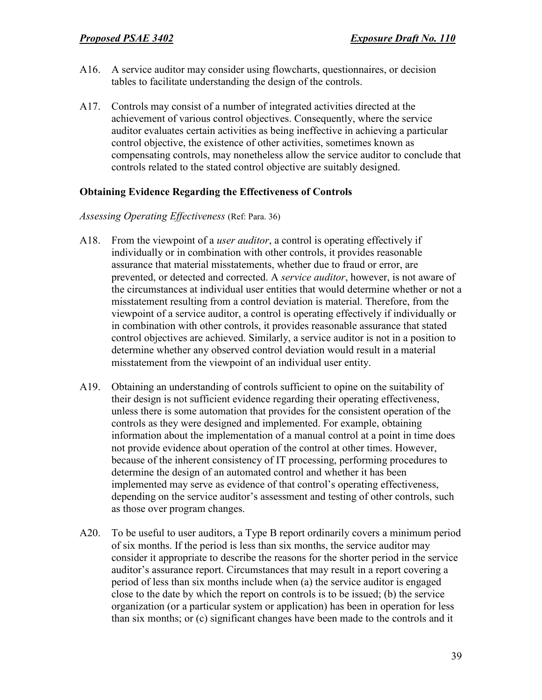- A16. A service auditor may consider using flowcharts, questionnaires, or decision tables to facilitate understanding the design of the controls.
- A17. Controls may consist of a number of integrated activities directed at the achievement of various control objectives. Consequently, where the service auditor evaluates certain activities as being ineffective in achieving a particular control objective, the existence of other activities, sometimes known as compensating controls, may nonetheless allow the service auditor to conclude that controls related to the stated control objective are suitably designed.

# Obtaining Evidence Regarding the Effectiveness of Controls

#### Assessing Operating Effectiveness (Ref: Para. 36)

- A18. From the viewpoint of a *user auditor*, a control is operating effectively if individually or in combination with other controls, it provides reasonable assurance that material misstatements, whether due to fraud or error, are prevented, or detected and corrected. A service auditor, however, is not aware of the circumstances at individual user entities that would determine whether or not a misstatement resulting from a control deviation is material. Therefore, from the viewpoint of a service auditor, a control is operating effectively if individually or in combination with other controls, it provides reasonable assurance that stated control objectives are achieved. Similarly, a service auditor is not in a position to determine whether any observed control deviation would result in a material misstatement from the viewpoint of an individual user entity.
- A19. Obtaining an understanding of controls sufficient to opine on the suitability of their design is not sufficient evidence regarding their operating effectiveness, unless there is some automation that provides for the consistent operation of the controls as they were designed and implemented. For example, obtaining information about the implementation of a manual control at a point in time does not provide evidence about operation of the control at other times. However, because of the inherent consistency of IT processing, performing procedures to determine the design of an automated control and whether it has been implemented may serve as evidence of that control's operating effectiveness, depending on the service auditor's assessment and testing of other controls, such as those over program changes.
- A20. To be useful to user auditors, a Type B report ordinarily covers a minimum period of six months. If the period is less than six months, the service auditor may consider it appropriate to describe the reasons for the shorter period in the service auditor's assurance report. Circumstances that may result in a report covering a period of less than six months include when (a) the service auditor is engaged close to the date by which the report on controls is to be issued; (b) the service organization (or a particular system or application) has been in operation for less than six months; or (c) significant changes have been made to the controls and it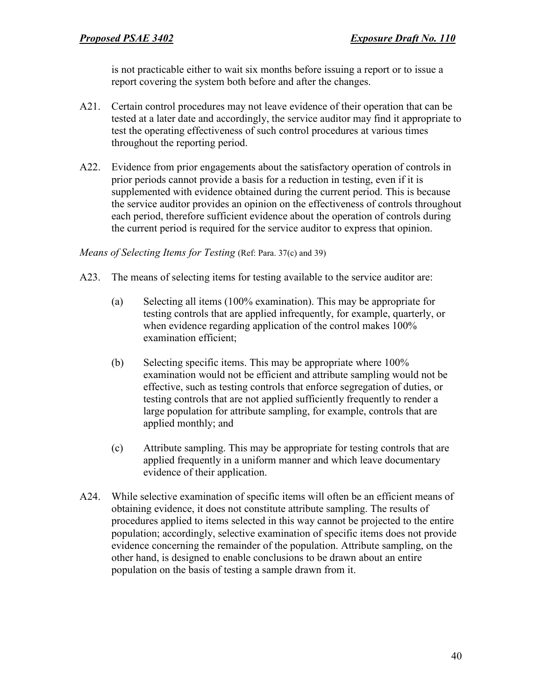is not practicable either to wait six months before issuing a report or to issue a report covering the system both before and after the changes.

- A21. Certain control procedures may not leave evidence of their operation that can be tested at a later date and accordingly, the service auditor may find it appropriate to test the operating effectiveness of such control procedures at various times throughout the reporting period.
- A22. Evidence from prior engagements about the satisfactory operation of controls in prior periods cannot provide a basis for a reduction in testing, even if it is supplemented with evidence obtained during the current period. This is because the service auditor provides an opinion on the effectiveness of controls throughout each period, therefore sufficient evidence about the operation of controls during the current period is required for the service auditor to express that opinion.

#### Means of Selecting Items for Testing (Ref: Para. 37(c) and 39)

- A23. The means of selecting items for testing available to the service auditor are:
	- (a) Selecting all items (100% examination). This may be appropriate for testing controls that are applied infrequently, for example, quarterly, or when evidence regarding application of the control makes  $100\%$ examination efficient;
	- (b) Selecting specific items. This may be appropriate where 100% examination would not be efficient and attribute sampling would not be effective, such as testing controls that enforce segregation of duties, or testing controls that are not applied sufficiently frequently to render a large population for attribute sampling, for example, controls that are applied monthly; and
	- (c) Attribute sampling. This may be appropriate for testing controls that are applied frequently in a uniform manner and which leave documentary evidence of their application.
- A24. While selective examination of specific items will often be an efficient means of obtaining evidence, it does not constitute attribute sampling. The results of procedures applied to items selected in this way cannot be projected to the entire population; accordingly, selective examination of specific items does not provide evidence concerning the remainder of the population. Attribute sampling, on the other hand, is designed to enable conclusions to be drawn about an entire population on the basis of testing a sample drawn from it.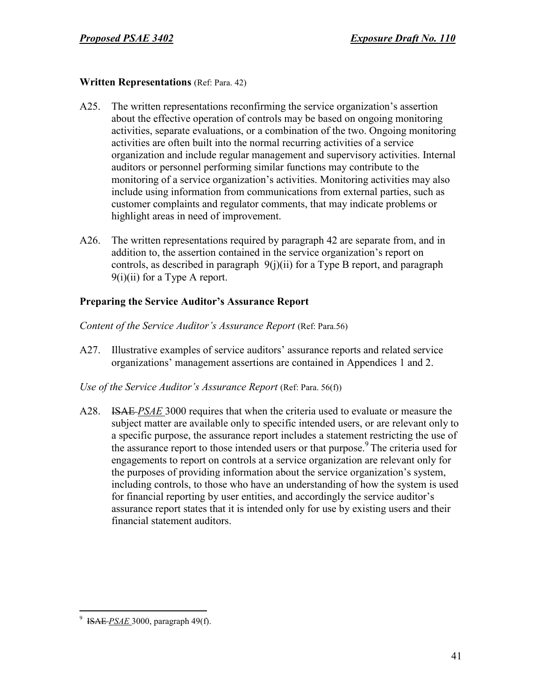#### Written Representations (Ref: Para. 42)

- A25. The written representations reconfirming the service organization's assertion about the effective operation of controls may be based on ongoing monitoring activities, separate evaluations, or a combination of the two. Ongoing monitoring activities are often built into the normal recurring activities of a service organization and include regular management and supervisory activities. Internal auditors or personnel performing similar functions may contribute to the monitoring of a service organization's activities. Monitoring activities may also include using information from communications from external parties, such as customer complaints and regulator comments, that may indicate problems or highlight areas in need of improvement.
- A26. The written representations required by paragraph 42 are separate from, and in addition to, the assertion contained in the service organization's report on controls, as described in paragraph 9(j)(ii) for a Type B report, and paragraph 9(i)(ii) for a Type A report.

# Preparing the Service Auditor's Assurance Report

Content of the Service Auditor's Assurance Report (Ref: Para.56)

A27. Illustrative examples of service auditors' assurance reports and related service organizations' management assertions are contained in Appendices 1 and 2.

#### Use of the Service Auditor's Assurance Report (Ref: Para. 56(f))

A28. **ISAE** *PSAE* 3000 requires that when the criteria used to evaluate or measure the subject matter are available only to specific intended users, or are relevant only to a specific purpose, the assurance report includes a statement restricting the use of the assurance report to those intended users or that purpose.<sup>9</sup> The criteria used for engagements to report on controls at a service organization are relevant only for the purposes of providing information about the service organization's system, including controls, to those who have an understanding of how the system is used for financial reporting by user entities, and accordingly the service auditor's assurance report states that it is intended only for use by existing users and their financial statement auditors.

 $\frac{9}{9}$  ISAE *PSAE* 3000, paragraph 49(f).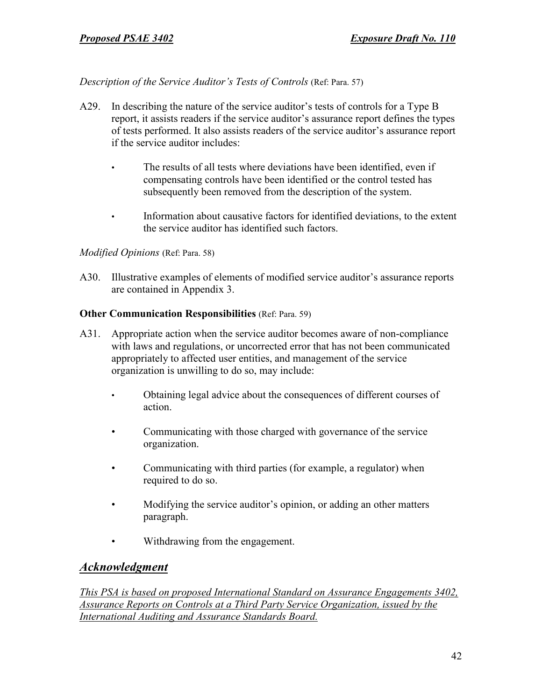Description of the Service Auditor's Tests of Controls (Ref: Para. 57)

- A29. In describing the nature of the service auditor's tests of controls for a Type B report, it assists readers if the service auditor's assurance report defines the types of tests performed. It also assists readers of the service auditor's assurance report if the service auditor includes:
	- The results of all tests where deviations have been identified, even if compensating controls have been identified or the control tested has subsequently been removed from the description of the system.
	- Information about causative factors for identified deviations, to the extent the service auditor has identified such factors.

# Modified Opinions (Ref: Para. 58)

A30. Illustrative examples of elements of modified service auditor's assurance reports are contained in Appendix 3.

# Other Communication Responsibilities (Ref: Para. 59)

- A31. Appropriate action when the service auditor becomes aware of non-compliance with laws and regulations, or uncorrected error that has not been communicated appropriately to affected user entities, and management of the service organization is unwilling to do so, may include:
	- Obtaining legal advice about the consequences of different courses of action.
	- Communicating with those charged with governance of the service organization.
	- Communicating with third parties (for example, a regulator) when required to do so.
	- Modifying the service auditor's opinion, or adding an other matters paragraph.
	- Withdrawing from the engagement.

# Acknowledgment

This PSA is based on proposed International Standard on Assurance Engagements 3402, Assurance Reports on Controls at a Third Party Service Organization, issued by the International Auditing and Assurance Standards Board.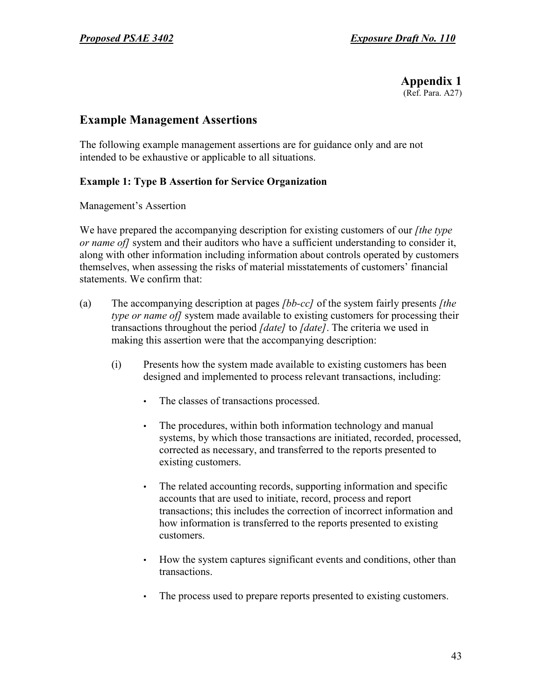Appendix 1 (Ref. Para. A27)

# Example Management Assertions

The following example management assertions are for guidance only and are not intended to be exhaustive or applicable to all situations.

# Example 1: Type B Assertion for Service Organization

Management's Assertion

We have prepared the accompanying description for existing customers of our *[the type* or name of] system and their auditors who have a sufficient understanding to consider it, along with other information including information about controls operated by customers themselves, when assessing the risks of material misstatements of customers' financial statements. We confirm that:

- (a) The accompanying description at pages  $[bb\text{-}cc]$  of the system fairly presents *[the*] type or name of system made available to existing customers for processing their transactions throughout the period *[date]* to *[date]*. The criteria we used in making this assertion were that the accompanying description:
	- (i) Presents how the system made available to existing customers has been designed and implemented to process relevant transactions, including:
		- The classes of transactions processed.
		- The procedures, within both information technology and manual systems, by which those transactions are initiated, recorded, processed, corrected as necessary, and transferred to the reports presented to existing customers.
		- The related accounting records, supporting information and specific accounts that are used to initiate, record, process and report transactions; this includes the correction of incorrect information and how information is transferred to the reports presented to existing customers.
		- How the system captures significant events and conditions, other than transactions.
		- The process used to prepare reports presented to existing customers.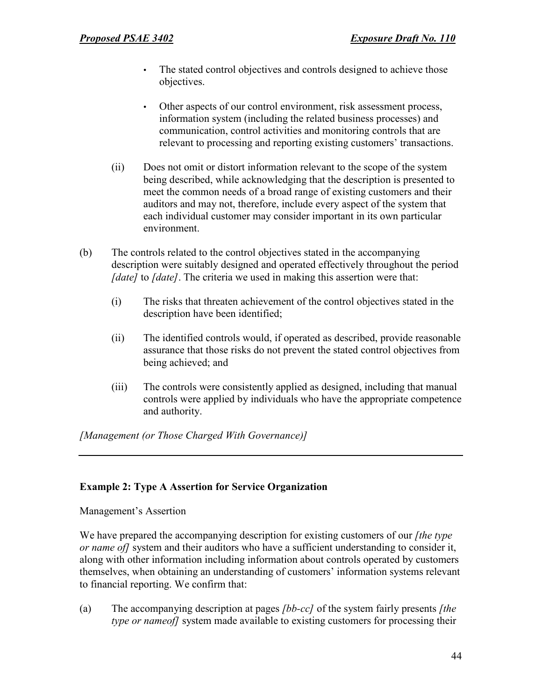- The stated control objectives and controls designed to achieve those objectives.
- Other aspects of our control environment, risk assessment process, information system (including the related business processes) and communication, control activities and monitoring controls that are relevant to processing and reporting existing customers' transactions.
- (ii) Does not omit or distort information relevant to the scope of the system being described, while acknowledging that the description is presented to meet the common needs of a broad range of existing customers and their auditors and may not, therefore, include every aspect of the system that each individual customer may consider important in its own particular environment.
- (b) The controls related to the control objectives stated in the accompanying description were suitably designed and operated effectively throughout the period [date] to [date]. The criteria we used in making this assertion were that:
	- (i) The risks that threaten achievement of the control objectives stated in the description have been identified;
	- (ii) The identified controls would, if operated as described, provide reasonable assurance that those risks do not prevent the stated control objectives from being achieved; and
	- (iii) The controls were consistently applied as designed, including that manual controls were applied by individuals who have the appropriate competence and authority.

[Management (or Those Charged With Governance)]

# Example 2: Type A Assertion for Service Organization

Management's Assertion

We have prepared the accompanying description for existing customers of our *[the type*] or name of system and their auditors who have a sufficient understanding to consider it, along with other information including information about controls operated by customers themselves, when obtaining an understanding of customers' information systems relevant to financial reporting. We confirm that:

(a) The accompanying description at pages  $[bb\text{-}cc]$  of the system fairly presents *[the*] type or name of system made available to existing customers for processing their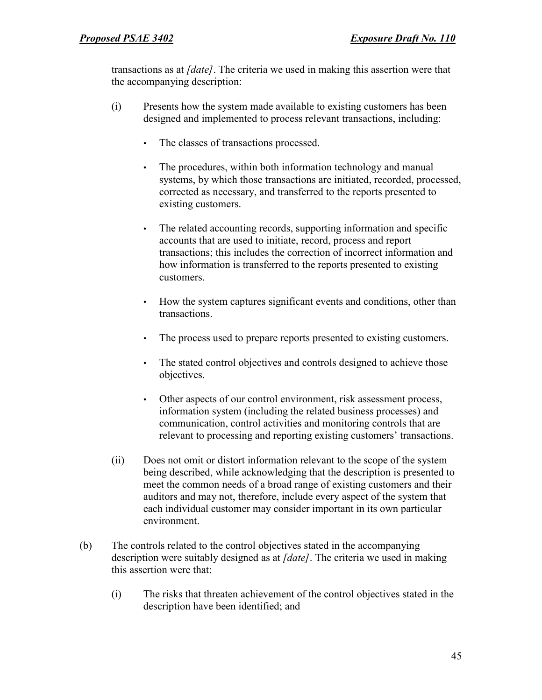transactions as at *[date]*. The criteria we used in making this assertion were that the accompanying description:

- (i) Presents how the system made available to existing customers has been designed and implemented to process relevant transactions, including:
	- The classes of transactions processed.
	- The procedures, within both information technology and manual systems, by which those transactions are initiated, recorded, processed, corrected as necessary, and transferred to the reports presented to existing customers.
	- The related accounting records, supporting information and specific accounts that are used to initiate, record, process and report transactions; this includes the correction of incorrect information and how information is transferred to the reports presented to existing customers.
	- How the system captures significant events and conditions, other than transactions.
	- The process used to prepare reports presented to existing customers.
	- The stated control objectives and controls designed to achieve those objectives.
	- Other aspects of our control environment, risk assessment process, information system (including the related business processes) and communication, control activities and monitoring controls that are relevant to processing and reporting existing customers' transactions.
- (ii) Does not omit or distort information relevant to the scope of the system being described, while acknowledging that the description is presented to meet the common needs of a broad range of existing customers and their auditors and may not, therefore, include every aspect of the system that each individual customer may consider important in its own particular environment.
- (b) The controls related to the control objectives stated in the accompanying description were suitably designed as at *[date]*. The criteria we used in making this assertion were that:
	- (i) The risks that threaten achievement of the control objectives stated in the description have been identified; and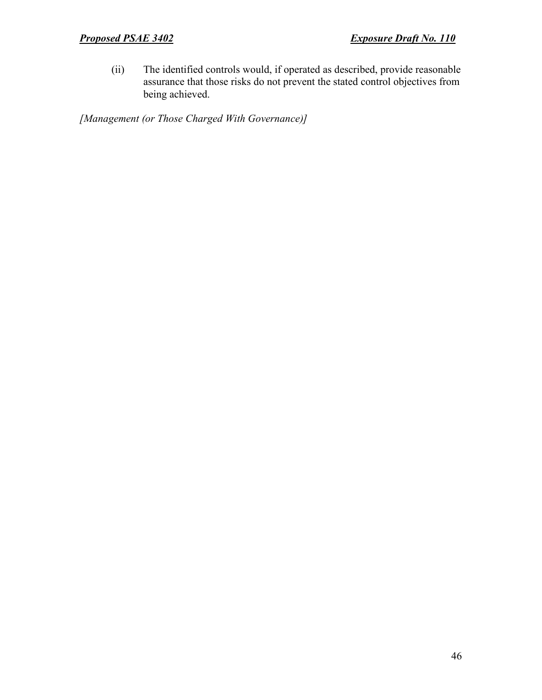(ii) The identified controls would, if operated as described, provide reasonable assurance that those risks do not prevent the stated control objectives from being achieved.

[Management (or Those Charged With Governance)]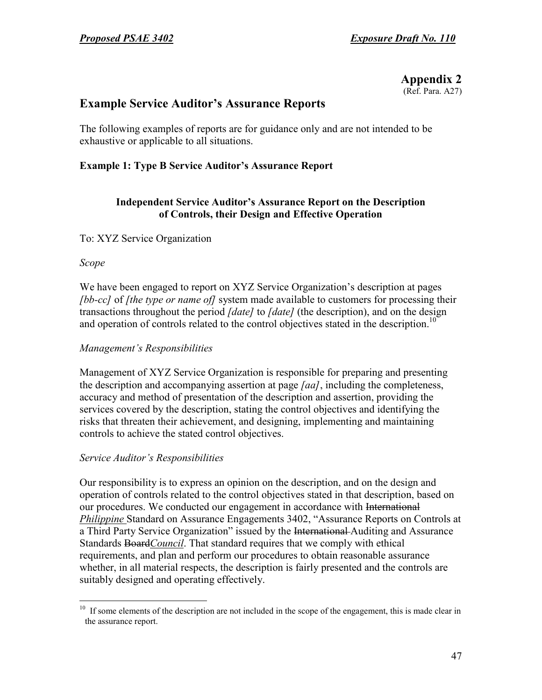Appendix 2 (Ref. Para. A27)

# Example Service Auditor's Assurance Reports

The following examples of reports are for guidance only and are not intended to be exhaustive or applicable to all situations.

# Example 1: Type B Service Auditor's Assurance Report

#### Independent Service Auditor's Assurance Report on the Description of Controls, their Design and Effective Operation

#### To: XYZ Service Organization

#### Scope

<u>.</u>

We have been engaged to report on XYZ Service Organization's description at pages [bb-cc] of [the type or name of] system made available to customers for processing their transactions throughout the period *[date]* to *[date]* (the description), and on the design and operation of controls related to the control objectives stated in the description.<sup>10</sup>

#### Management's Responsibilities

Management of XYZ Service Organization is responsible for preparing and presenting the description and accompanying assertion at page  $[aa]$ , including the completeness, accuracy and method of presentation of the description and assertion, providing the services covered by the description, stating the control objectives and identifying the risks that threaten their achievement, and designing, implementing and maintaining controls to achieve the stated control objectives.

#### Service Auditor's Responsibilities

Our responsibility is to express an opinion on the description, and on the design and operation of controls related to the control objectives stated in that description, based on our procedures. We conducted our engagement in accordance with International **Philippine Standard on Assurance Engagements 3402, "Assurance Reports on Controls at** a Third Party Service Organization" issued by the International Auditing and Assurance Standards BoardCouncil. That standard requires that we comply with ethical requirements, and plan and perform our procedures to obtain reasonable assurance whether, in all material respects, the description is fairly presented and the controls are suitably designed and operating effectively.

<sup>&</sup>lt;sup>10</sup> If some elements of the description are not included in the scope of the engagement, this is made clear in the assurance report.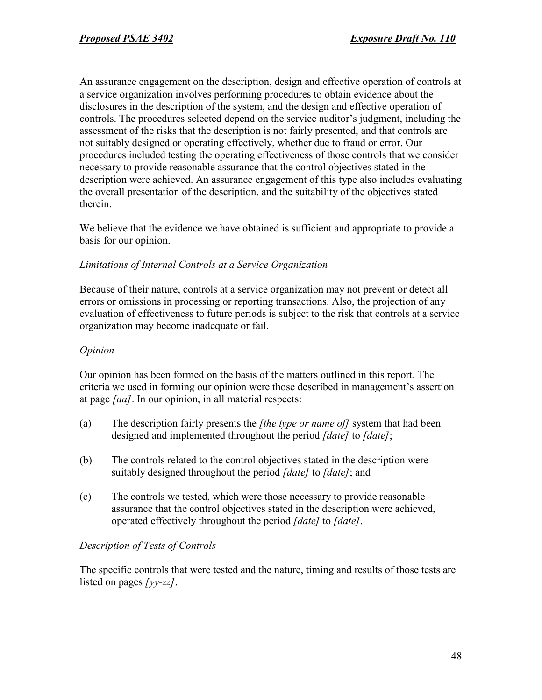An assurance engagement on the description, design and effective operation of controls at a service organization involves performing procedures to obtain evidence about the disclosures in the description of the system, and the design and effective operation of controls. The procedures selected depend on the service auditor's judgment, including the assessment of the risks that the description is not fairly presented, and that controls are not suitably designed or operating effectively, whether due to fraud or error. Our procedures included testing the operating effectiveness of those controls that we consider necessary to provide reasonable assurance that the control objectives stated in the description were achieved. An assurance engagement of this type also includes evaluating the overall presentation of the description, and the suitability of the objectives stated therein.

We believe that the evidence we have obtained is sufficient and appropriate to provide a basis for our opinion.

# Limitations of Internal Controls at a Service Organization

Because of their nature, controls at a service organization may not prevent or detect all errors or omissions in processing or reporting transactions. Also, the projection of any evaluation of effectiveness to future periods is subject to the risk that controls at a service organization may become inadequate or fail.

#### Opinion

Our opinion has been formed on the basis of the matters outlined in this report. The criteria we used in forming our opinion were those described in management's assertion at page  $[aa]$ . In our opinion, in all material respects:

- (a) The description fairly presents the *[the type or name of]* system that had been designed and implemented throughout the period [date] to [date];
- (b) The controls related to the control objectives stated in the description were suitably designed throughout the period [date] to [date]; and
- (c) The controls we tested, which were those necessary to provide reasonable assurance that the control objectives stated in the description were achieved, operated effectively throughout the period [date] to [date].

# Description of Tests of Controls

The specific controls that were tested and the nature, timing and results of those tests are listed on pages  $[yy-zz]$ .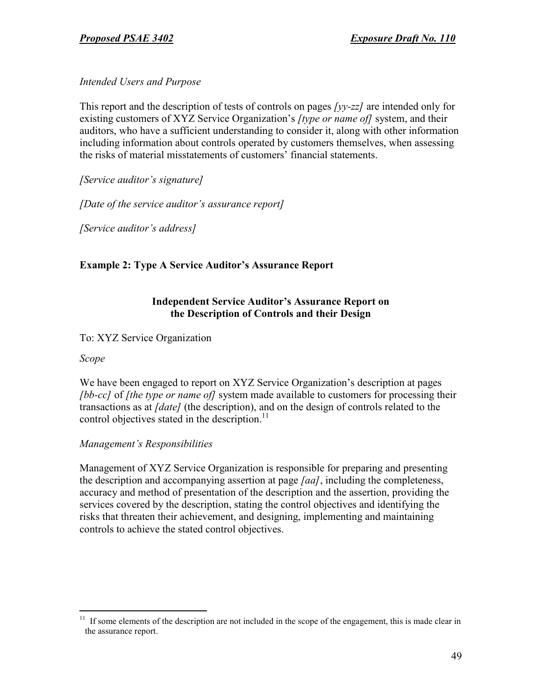# Intended Users and Purpose

This report and the description of tests of controls on pages  $/yy-zz$  are intended only for existing customers of XYZ Service Organization's *[type or name of]* system, and their auditors, who have a sufficient understanding to consider it, along with other information including information about controls operated by customers themselves, when assessing the risks of material misstatements of customers' financial statements.

[Service auditor's signature]

[Date of the service auditor's assurance report]

[Service auditor's address]

# Example 2: Type A Service Auditor's Assurance Report

#### Independent Service Auditor's Assurance Report on the Description of Controls and their Design

To: XYZ Service Organization

Scope

-

We have been engaged to report on XYZ Service Organization's description at pages (bb-cc) of [the type or name of] system made available to customers for processing their transactions as at *[date]* (the description), and on the design of controls related to the control objectives stated in the description.<sup>11</sup>

# Management's Responsibilities

Management of XYZ Service Organization is responsible for preparing and presenting the description and accompanying assertion at page  $[aa]$ , including the completeness, accuracy and method of presentation of the description and the assertion, providing the services covered by the description, stating the control objectives and identifying the risks that threaten their achievement, and designing, implementing and maintaining controls to achieve the stated control objectives.

 $11$  If some elements of the description are not included in the scope of the engagement, this is made clear in the assurance report.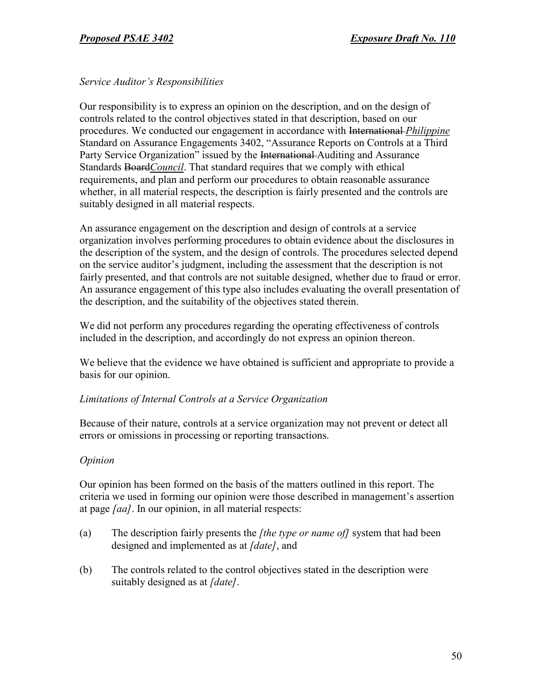# Service Auditor's Responsibilities

Our responsibility is to express an opinion on the description, and on the design of controls related to the control objectives stated in that description, based on our procedures. We conducted our engagement in accordance with International *Philippine* Standard on Assurance Engagements 3402, "Assurance Reports on Controls at a Third Party Service Organization" issued by the International Auditing and Assurance Standards BoardCouncil. That standard requires that we comply with ethical requirements, and plan and perform our procedures to obtain reasonable assurance whether, in all material respects, the description is fairly presented and the controls are suitably designed in all material respects.

An assurance engagement on the description and design of controls at a service organization involves performing procedures to obtain evidence about the disclosures in the description of the system, and the design of controls. The procedures selected depend on the service auditor's judgment, including the assessment that the description is not fairly presented, and that controls are not suitable designed, whether due to fraud or error. An assurance engagement of this type also includes evaluating the overall presentation of the description, and the suitability of the objectives stated therein.

We did not perform any procedures regarding the operating effectiveness of controls included in the description, and accordingly do not express an opinion thereon.

We believe that the evidence we have obtained is sufficient and appropriate to provide a basis for our opinion.

#### Limitations of Internal Controls at a Service Organization

Because of their nature, controls at a service organization may not prevent or detect all errors or omissions in processing or reporting transactions.

# Opinion

Our opinion has been formed on the basis of the matters outlined in this report. The criteria we used in forming our opinion were those described in management's assertion at page *[aa]*. In our opinion, in all material respects:

- (a) The description fairly presents the *[the type or name of]* system that had been designed and implemented as at [date], and
- (b) The controls related to the control objectives stated in the description were suitably designed as at [date].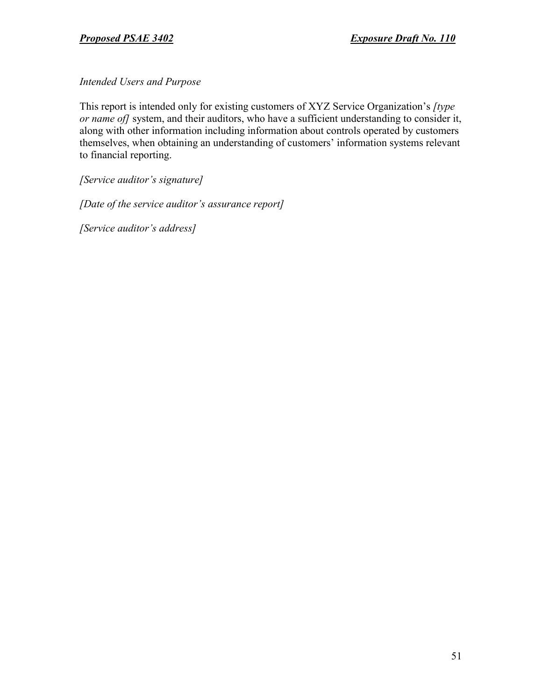Intended Users and Purpose

This report is intended only for existing customers of XYZ Service Organization's [type] or name of system, and their auditors, who have a sufficient understanding to consider it, along with other information including information about controls operated by customers themselves, when obtaining an understanding of customers' information systems relevant to financial reporting.

[Service auditor's signature]

[Date of the service auditor's assurance report]

[Service auditor's address]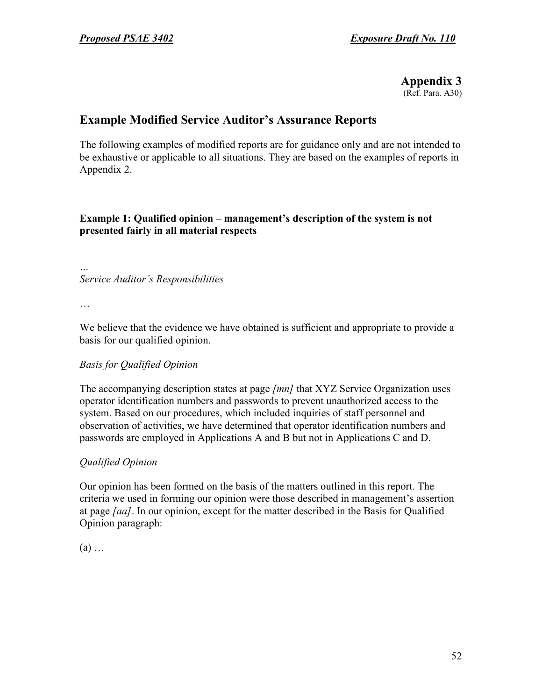Appendix 3 (Ref. Para. A30)

# Example Modified Service Auditor's Assurance Reports

The following examples of modified reports are for guidance only and are not intended to be exhaustive or applicable to all situations. They are based on the examples of reports in Appendix 2.

Example 1: Qualified opinion – management's description of the system is not presented fairly in all material respects

… Service Auditor's Responsibilities

…

We believe that the evidence we have obtained is sufficient and appropriate to provide a basis for our qualified opinion.

# Basis for Qualified Opinion

The accompanying description states at page [mn] that XYZ Service Organization uses operator identification numbers and passwords to prevent unauthorized access to the system. Based on our procedures, which included inquiries of staff personnel and observation of activities, we have determined that operator identification numbers and passwords are employed in Applications A and B but not in Applications C and D.

# Qualified Opinion

Our opinion has been formed on the basis of the matters outlined in this report. The criteria we used in forming our opinion were those described in management's assertion at page *[aa]*. In our opinion, except for the matter described in the Basis for Qualified Opinion paragraph:

 $(a)$  ...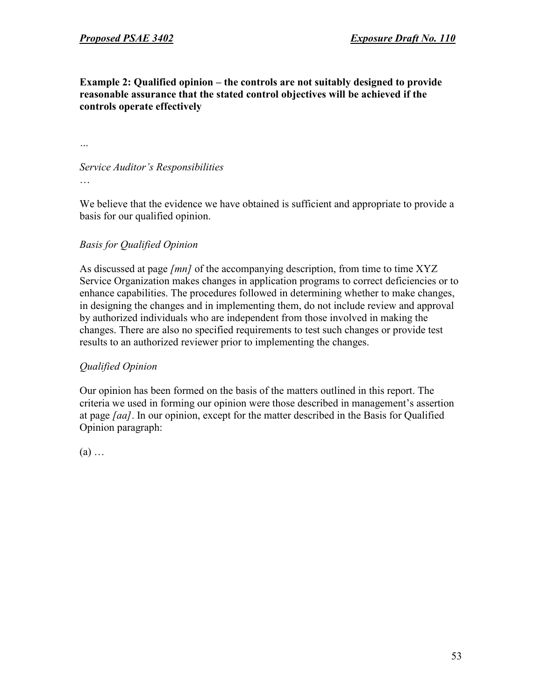Example 2: Qualified opinion – the controls are not suitably designed to provide reasonable assurance that the stated control objectives will be achieved if the controls operate effectively

…

# Service Auditor's Responsibilities

…

We believe that the evidence we have obtained is sufficient and appropriate to provide a basis for our qualified opinion.

# Basis for Qualified Opinion

As discussed at page  $[mn]$  of the accompanying description, from time to time XYZ Service Organization makes changes in application programs to correct deficiencies or to enhance capabilities. The procedures followed in determining whether to make changes, in designing the changes and in implementing them, do not include review and approval by authorized individuals who are independent from those involved in making the changes. There are also no specified requirements to test such changes or provide test results to an authorized reviewer prior to implementing the changes.

# Qualified Opinion

Our opinion has been formed on the basis of the matters outlined in this report. The criteria we used in forming our opinion were those described in management's assertion at page *[aa]*. In our opinion, except for the matter described in the Basis for Qualified Opinion paragraph:

(a) …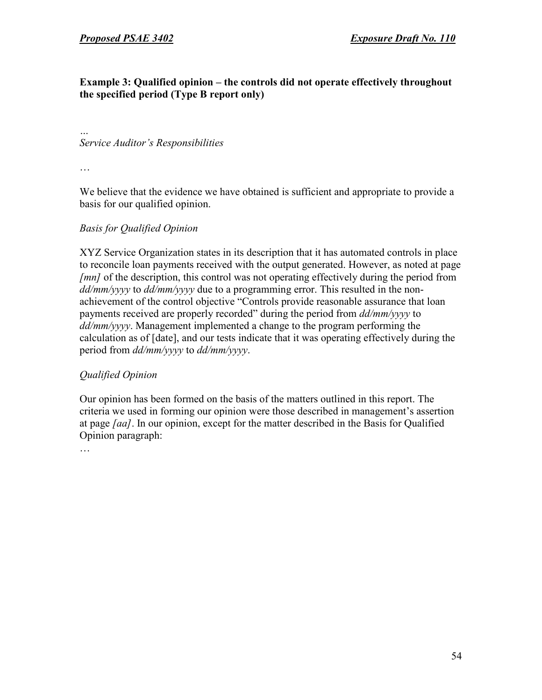# Example 3: Qualified opinion – the controls did not operate effectively throughout the specified period (Type B report only)

# Service Auditor's Responsibilities

…

…

We believe that the evidence we have obtained is sufficient and appropriate to provide a basis for our qualified opinion.

# Basis for Qualified Opinion

XYZ Service Organization states in its description that it has automated controls in place to reconcile loan payments received with the output generated. However, as noted at page [mn] of the description, this control was not operating effectively during the period from  $dd/mm/yyy$  to  $dd/mm/yyyy$  due to a programming error. This resulted in the nonachievement of the control objective "Controls provide reasonable assurance that loan payments received are properly recorded" during the period from  $dd/mm/yyyy$  to dd/mm/yyyy. Management implemented a change to the program performing the calculation as of [date], and our tests indicate that it was operating effectively during the period from dd/mm/yyyy to dd/mm/yyyy.

# Qualified Opinion

Our opinion has been formed on the basis of the matters outlined in this report. The criteria we used in forming our opinion were those described in management's assertion at page *[aa]*. In our opinion, except for the matter described in the Basis for Qualified Opinion paragraph:

…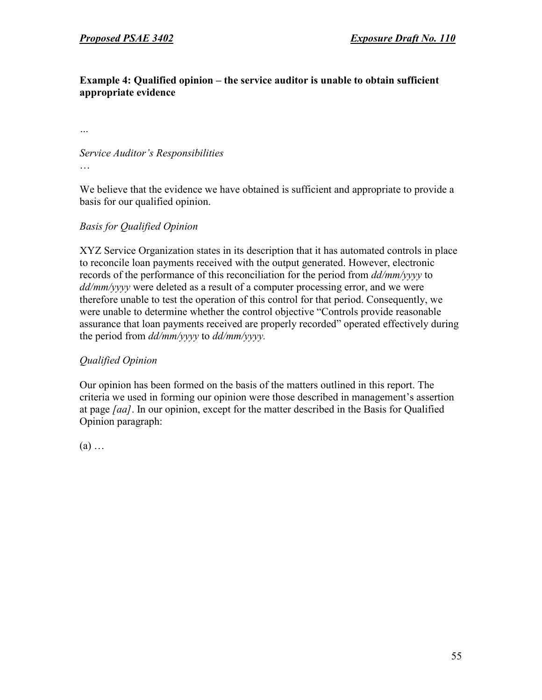# Example 4: Qualified opinion – the service auditor is unable to obtain sufficient appropriate evidence

…

#### Service Auditor's Responsibilities

…

We believe that the evidence we have obtained is sufficient and appropriate to provide a basis for our qualified opinion.

# Basis for Qualified Opinion

XYZ Service Organization states in its description that it has automated controls in place to reconcile loan payments received with the output generated. However, electronic records of the performance of this reconciliation for the period from  $dd/mm/ \gamma \gamma \gamma$  to dd/mm/yyyy were deleted as a result of a computer processing error, and we were therefore unable to test the operation of this control for that period. Consequently, we were unable to determine whether the control objective "Controls provide reasonable assurance that loan payments received are properly recorded" operated effectively during the period from dd/mm/yyyy to dd/mm/yyyy.

# Qualified Opinion

Our opinion has been formed on the basis of the matters outlined in this report. The criteria we used in forming our opinion were those described in management's assertion at page  $[aa]$ . In our opinion, except for the matter described in the Basis for Qualified Opinion paragraph:

 $(a)$  ...